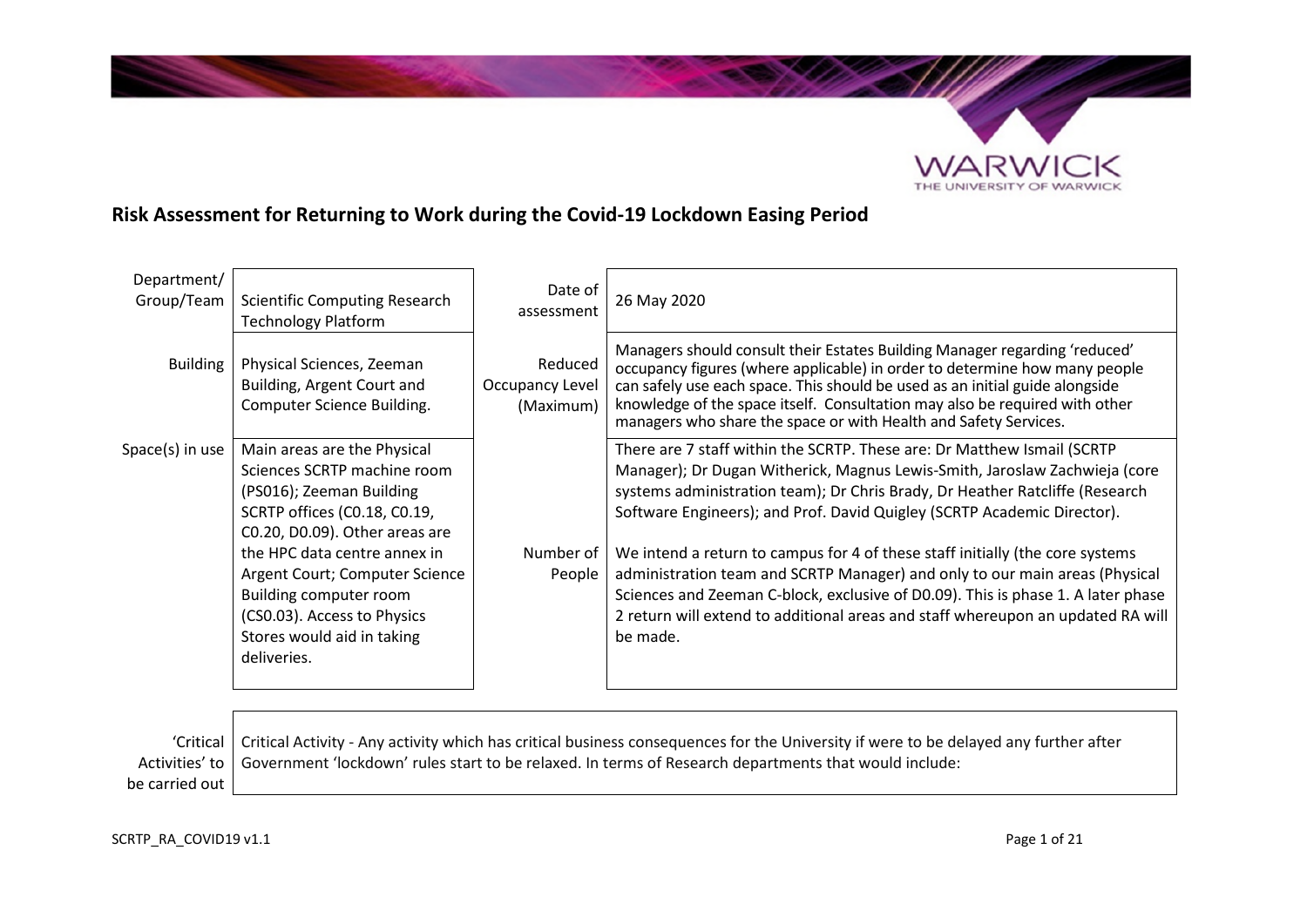

# **Risk Assessment for Returning to Work during the Covid-19 Lockdown Easing Period**

| Department/<br>Group/Team | <b>Scientific Computing Research</b><br><b>Technology Platform</b>                                                                                                   | Date of<br>assessment                   | 26 May 2020                                                                                                                                                                                                                                                                                                                                                                                 |
|---------------------------|----------------------------------------------------------------------------------------------------------------------------------------------------------------------|-----------------------------------------|---------------------------------------------------------------------------------------------------------------------------------------------------------------------------------------------------------------------------------------------------------------------------------------------------------------------------------------------------------------------------------------------|
| <b>Building</b>           | Physical Sciences, Zeeman<br>Building, Argent Court and<br>Computer Science Building.                                                                                | Reduced<br>Occupancy Level<br>(Maximum) | Managers should consult their Estates Building Manager regarding 'reduced'<br>occupancy figures (where applicable) in order to determine how many people<br>can safely use each space. This should be used as an initial guide alongside<br>knowledge of the space itself. Consultation may also be required with other<br>managers who share the space or with Health and Safety Services. |
| $Space(s)$ in use         | Main areas are the Physical<br>Sciences SCRTP machine room<br>(PS016); Zeeman Building<br>SCRTP offices (C0.18, C0.19,<br>C0.20, D0.09). Other areas are             |                                         | There are 7 staff within the SCRTP. These are: Dr Matthew Ismail (SCRTP<br>Manager); Dr Dugan Witherick, Magnus Lewis-Smith, Jaroslaw Zachwieja (core<br>systems administration team); Dr Chris Brady, Dr Heather Ratcliffe (Research<br>Software Engineers); and Prof. David Quigley (SCRTP Academic Director).                                                                            |
|                           | the HPC data centre annex in<br>Argent Court; Computer Science<br>Building computer room<br>(CS0.03). Access to Physics<br>Stores would aid in taking<br>deliveries. | Number of<br>People                     | We intend a return to campus for 4 of these staff initially (the core systems<br>administration team and SCRTP Manager) and only to our main areas (Physical<br>Sciences and Zeeman C-block, exclusive of D0.09). This is phase 1. A later phase<br>2 return will extend to additional areas and staff whereupon an updated RA will<br>be made.                                             |

 'Critical Activities' to be carried out Critical Activity - Any activity which has critical business consequences for the University if were to be delayed any further after Government 'lockdown' rules start to be relaxed. In terms of Research departments that would include: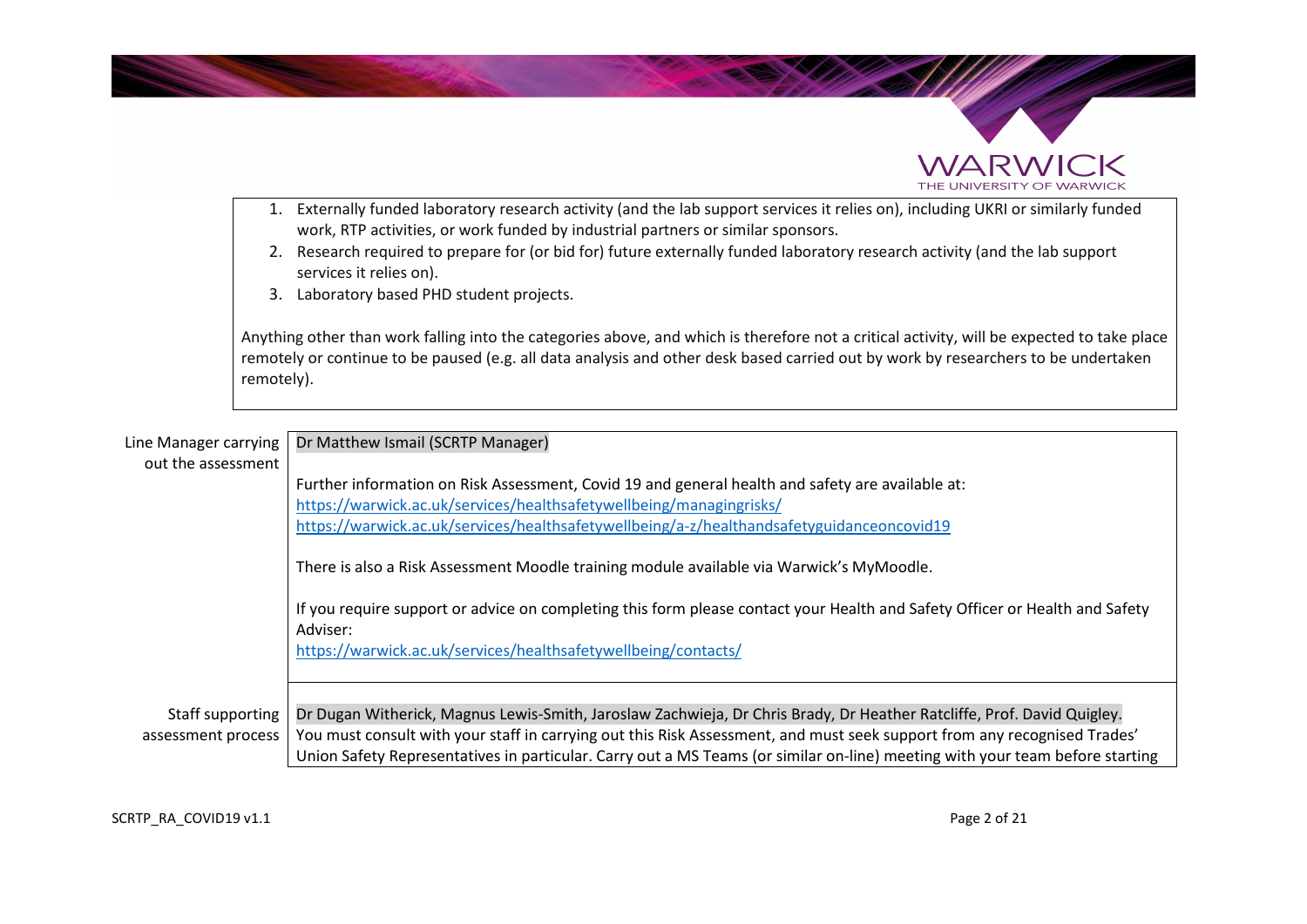



- work, RTP activities, or work funded by industrial partners or similar sponsors. 2. Research required to prepare for (or bid for) future externally funded laboratory research activity (and the lab support services it relies on).
- 3. Laboratory based PHD student projects.

Anything other than work falling into the categories above, and which is therefore not a critical activity, will be expected to take place remotely or continue to be paused (e.g. all data analysis and other desk based carried out by work by researchers to be undertaken remotely).

| Line Manager carrying<br>out the assessment | Dr Matthew Ismail (SCRTP Manager)                                                                                                                                                                                                                                                                                                                                                  |  |
|---------------------------------------------|------------------------------------------------------------------------------------------------------------------------------------------------------------------------------------------------------------------------------------------------------------------------------------------------------------------------------------------------------------------------------------|--|
|                                             | Further information on Risk Assessment, Covid 19 and general health and safety are available at:<br>https://warwick.ac.uk/services/healthsafetywellbeing/managingrisks/<br>https://warwick.ac.uk/services/healthsafetywellbeing/a-z/healthandsafetyguidanceoncovid19                                                                                                               |  |
|                                             | There is also a Risk Assessment Moodle training module available via Warwick's MyMoodle.<br>If you require support or advice on completing this form please contact your Health and Safety Officer or Health and Safety<br>Adviser:<br>https://warwick.ac.uk/services/healthsafetywellbeing/contacts/                                                                              |  |
| Staff supporting<br>assessment process      | Dr Dugan Witherick, Magnus Lewis-Smith, Jaroslaw Zachwieja, Dr Chris Brady, Dr Heather Ratcliffe, Prof. David Quigley.<br>You must consult with your staff in carrying out this Risk Assessment, and must seek support from any recognised Trades'<br>Union Safety Representatives in particular. Carry out a MS Teams (or similar on-line) meeting with your team before starting |  |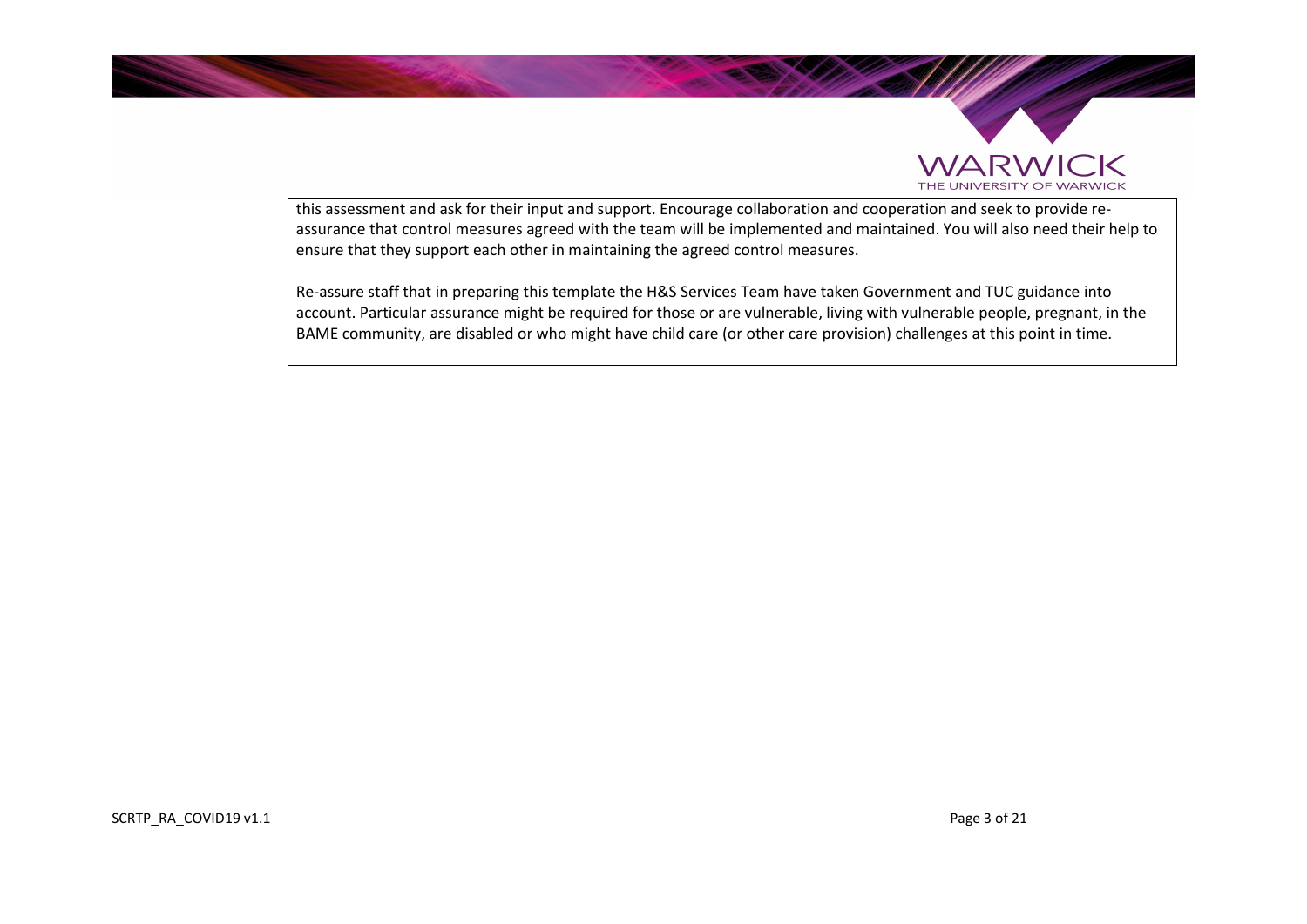



this assessment and ask for their input and support. Encourage collaboration and cooperation and seek to provide reassurance that control measures agreed with the team will be implemented and maintained. You will also need their help to ensure that they support each other in maintaining the agreed control measures.

Re-assure staff that in preparing this template the H&S Services Team have taken Government and TUC guidance into account. Particular assurance might be required for those or are vulnerable, living with vulnerable people, pregnant, in the BAME community, are disabled or who might have child care (or other care provision) challenges at this point in time.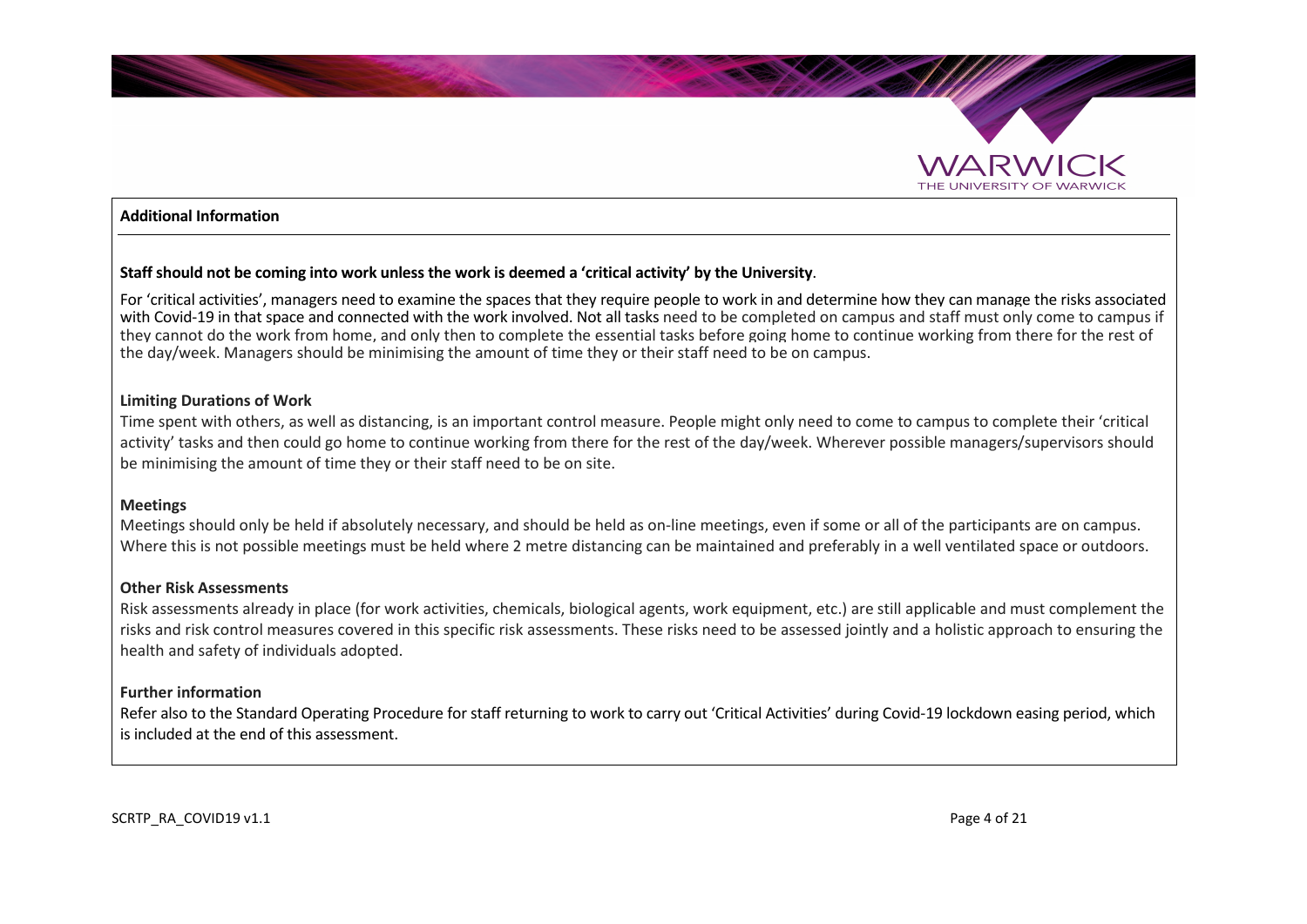

#### **Additional Information**

#### **Staff should not be coming into work unless the work is deemed a 'critical activity' by the University**.

For 'critical activities', managers need to examine the spaces that they require people to work in and determine how they can manage the risks associated with Covid-19 in that space and connected with the work involved. Not all tasks need to be completed on campus and staff must only come to campus if they cannot do the work from home, and only then to complete the essential tasks before going home to continue working from there for the rest of the day/week. Managers should be minimising the amount of time they or their staff need to be on campus.

#### **Limiting Durations of Work**

Time spent with others, as well as distancing, is an important control measure. People might only need to come to campus to complete their 'critical activity' tasks and then could go home to continue working from there for the rest of the day/week. Wherever possible managers/supervisors should be minimising the amount of time they or their staff need to be on site.

#### **Meetings**

Meetings should only be held if absolutely necessary, and should be held as on-line meetings, even if some or all of the participants are on campus. Where this is not possible meetings must be held where 2 metre distancing can be maintained and preferably in a well ventilated space or outdoors.

#### **Other Risk Assessments**

Risk assessments already in place (for work activities, chemicals, biological agents, work equipment, etc.) are still applicable and must complement the risks and risk control measures covered in this specific risk assessments. These risks need to be assessed jointly and a holistic approach to ensuring the health and safety of individuals adopted.

#### **Further information**

Refer also to the Standard Operating Procedure for staff returning to work to carry out 'Critical Activities' during Covid-19 lockdown easing period, which is included at the end of this assessment.

SCRTP\_RA\_COVID19 v1.1  $P$  Page 4 of 21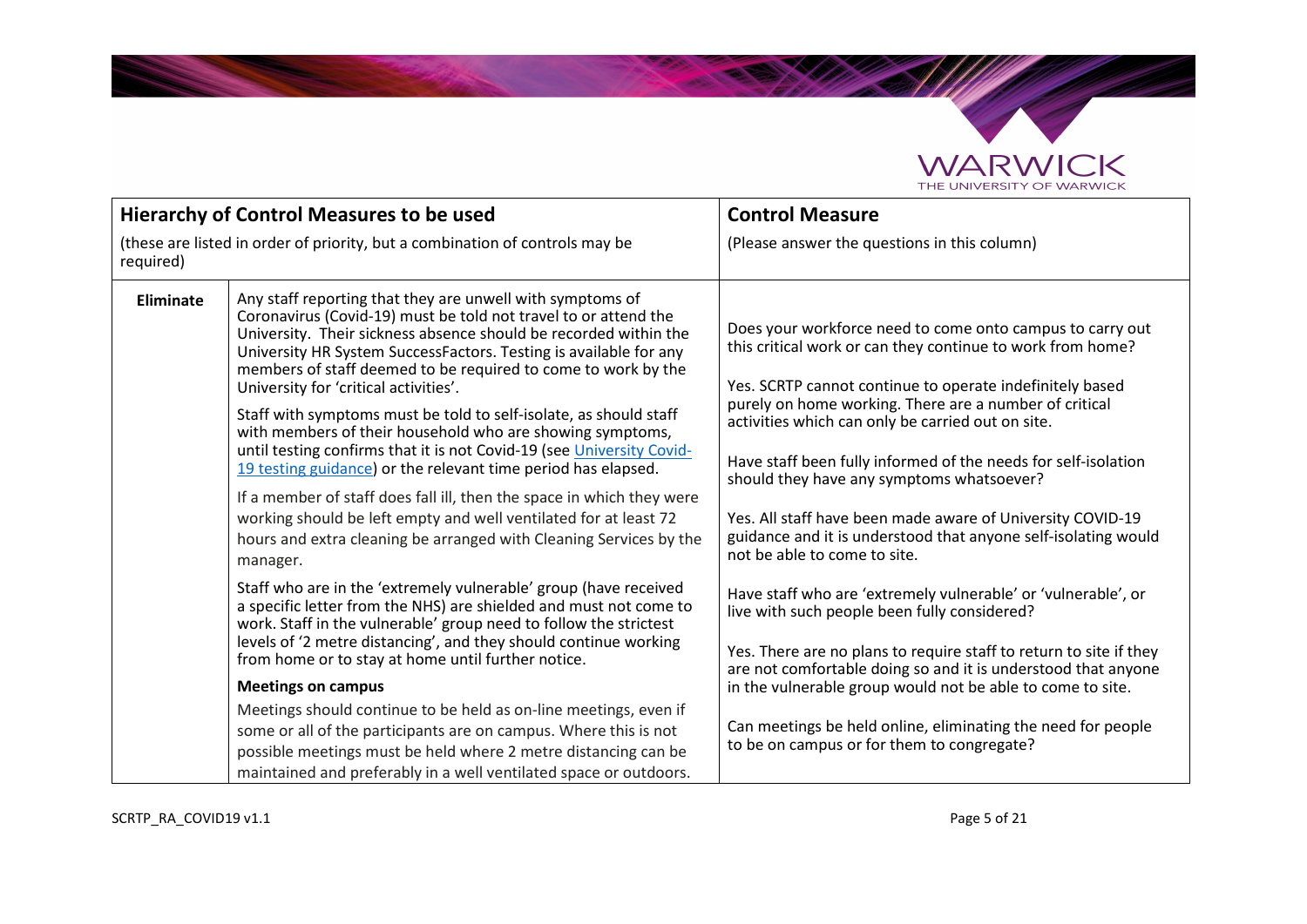

**SALES OF** 

| <b>Hierarchy of Control Measures to be used</b>                                           |                                                                                                                                                                                                                                                                                                                                                                                                                                                                                                                                                                                                                                                                                                                                                                                                                                                                                            | <b>Control Measure</b>                                                                                                                                                                                                                                                                                                                                                                                                                                                                                                                                                            |
|-------------------------------------------------------------------------------------------|--------------------------------------------------------------------------------------------------------------------------------------------------------------------------------------------------------------------------------------------------------------------------------------------------------------------------------------------------------------------------------------------------------------------------------------------------------------------------------------------------------------------------------------------------------------------------------------------------------------------------------------------------------------------------------------------------------------------------------------------------------------------------------------------------------------------------------------------------------------------------------------------|-----------------------------------------------------------------------------------------------------------------------------------------------------------------------------------------------------------------------------------------------------------------------------------------------------------------------------------------------------------------------------------------------------------------------------------------------------------------------------------------------------------------------------------------------------------------------------------|
| (these are listed in order of priority, but a combination of controls may be<br>required) |                                                                                                                                                                                                                                                                                                                                                                                                                                                                                                                                                                                                                                                                                                                                                                                                                                                                                            | (Please answer the questions in this column)                                                                                                                                                                                                                                                                                                                                                                                                                                                                                                                                      |
| Eliminate                                                                                 | Any staff reporting that they are unwell with symptoms of<br>Coronavirus (Covid-19) must be told not travel to or attend the<br>University. Their sickness absence should be recorded within the<br>University HR System SuccessFactors. Testing is available for any<br>members of staff deemed to be required to come to work by the<br>University for 'critical activities'.<br>Staff with symptoms must be told to self-isolate, as should staff<br>with members of their household who are showing symptoms,<br>until testing confirms that it is not Covid-19 (see University Covid-<br>19 testing guidance) or the relevant time period has elapsed.<br>If a member of staff does fall ill, then the space in which they were<br>working should be left empty and well ventilated for at least 72<br>hours and extra cleaning be arranged with Cleaning Services by the<br>manager. | Does your workforce need to come onto campus to carry out<br>this critical work or can they continue to work from home?<br>Yes. SCRTP cannot continue to operate indefinitely based<br>purely on home working. There are a number of critical<br>activities which can only be carried out on site.<br>Have staff been fully informed of the needs for self-isolation<br>should they have any symptoms whatsoever?<br>Yes. All staff have been made aware of University COVID-19<br>guidance and it is understood that anyone self-isolating would<br>not be able to come to site. |
|                                                                                           | Staff who are in the 'extremely vulnerable' group (have received<br>a specific letter from the NHS) are shielded and must not come to<br>work. Staff in the vulnerable' group need to follow the strictest<br>levels of '2 metre distancing', and they should continue working<br>from home or to stay at home until further notice.<br><b>Meetings on campus</b><br>Meetings should continue to be held as on-line meetings, even if<br>some or all of the participants are on campus. Where this is not<br>possible meetings must be held where 2 metre distancing can be<br>maintained and preferably in a well ventilated space or outdoors.                                                                                                                                                                                                                                           | Have staff who are 'extremely vulnerable' or 'vulnerable', or<br>live with such people been fully considered?<br>Yes. There are no plans to require staff to return to site if they<br>are not comfortable doing so and it is understood that anyone<br>in the vulnerable group would not be able to come to site.<br>Can meetings be held online, eliminating the need for people<br>to be on campus or for them to congregate?                                                                                                                                                  |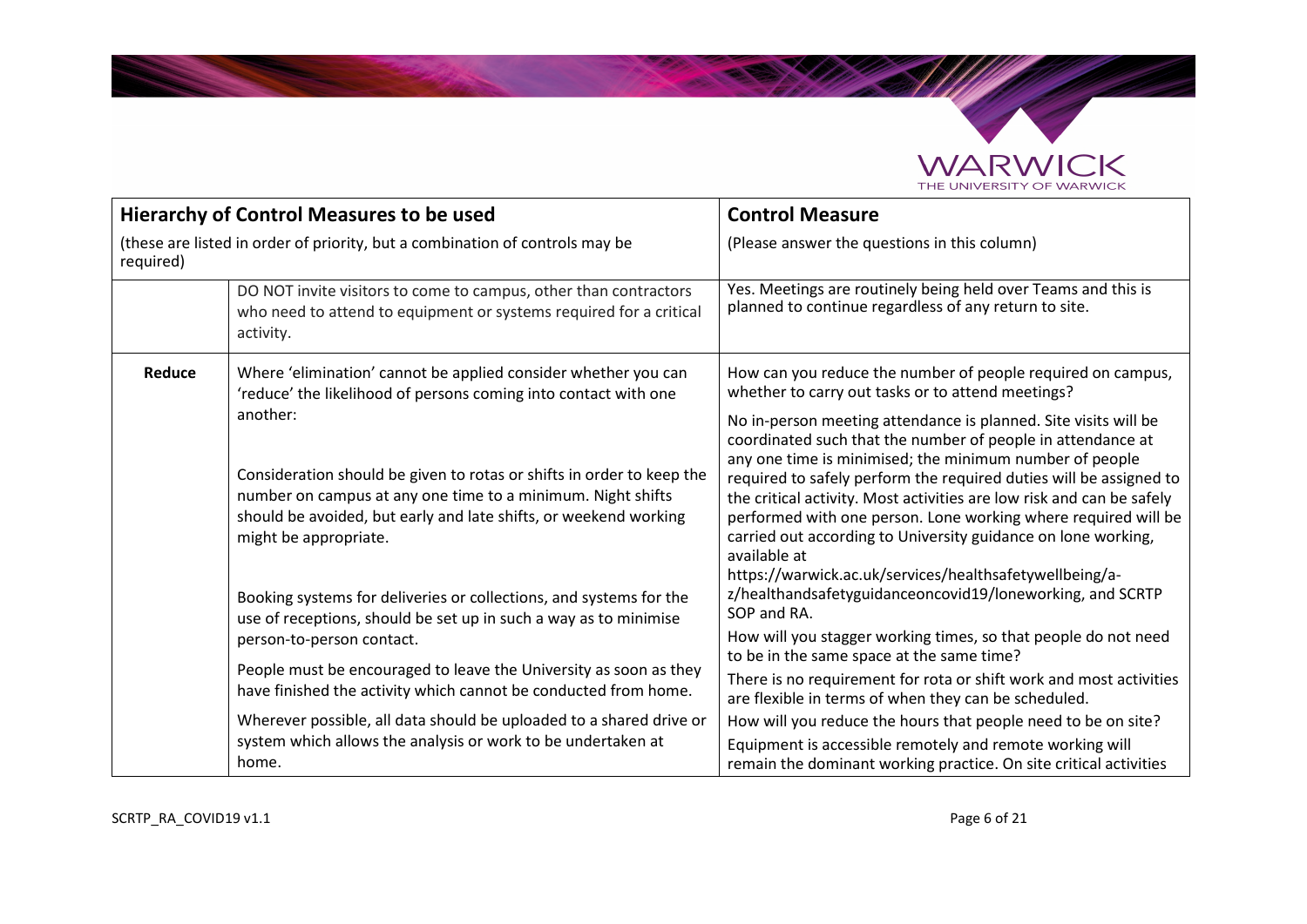

**SANDARY** 

| <b>Hierarchy of Control Measures to be used</b>                                           |                                                                                                                                                                                                                                               | <b>Control Measure</b>                                                                                                                                                                                                                                                                                                                                                                                                                                                                      |
|-------------------------------------------------------------------------------------------|-----------------------------------------------------------------------------------------------------------------------------------------------------------------------------------------------------------------------------------------------|---------------------------------------------------------------------------------------------------------------------------------------------------------------------------------------------------------------------------------------------------------------------------------------------------------------------------------------------------------------------------------------------------------------------------------------------------------------------------------------------|
| (these are listed in order of priority, but a combination of controls may be<br>required) |                                                                                                                                                                                                                                               | (Please answer the questions in this column)                                                                                                                                                                                                                                                                                                                                                                                                                                                |
|                                                                                           | DO NOT invite visitors to come to campus, other than contractors<br>who need to attend to equipment or systems required for a critical<br>activity.                                                                                           | Yes. Meetings are routinely being held over Teams and this is<br>planned to continue regardless of any return to site.                                                                                                                                                                                                                                                                                                                                                                      |
| Reduce                                                                                    | Where 'elimination' cannot be applied consider whether you can<br>'reduce' the likelihood of persons coming into contact with one                                                                                                             | How can you reduce the number of people required on campus,<br>whether to carry out tasks or to attend meetings?                                                                                                                                                                                                                                                                                                                                                                            |
|                                                                                           | another:<br>Consideration should be given to rotas or shifts in order to keep the<br>number on campus at any one time to a minimum. Night shifts<br>should be avoided, but early and late shifts, or weekend working<br>might be appropriate. | No in-person meeting attendance is planned. Site visits will be<br>coordinated such that the number of people in attendance at<br>any one time is minimised; the minimum number of people<br>required to safely perform the required duties will be assigned to<br>the critical activity. Most activities are low risk and can be safely<br>performed with one person. Lone working where required will be<br>carried out according to University guidance on lone working,<br>available at |
|                                                                                           | Booking systems for deliveries or collections, and systems for the<br>use of receptions, should be set up in such a way as to minimise                                                                                                        | https://warwick.ac.uk/services/healthsafetywellbeing/a-<br>z/healthandsafetyguidanceoncovid19/loneworking, and SCRTP<br>SOP and RA.                                                                                                                                                                                                                                                                                                                                                         |
|                                                                                           | person-to-person contact.                                                                                                                                                                                                                     | How will you stagger working times, so that people do not need<br>to be in the same space at the same time?                                                                                                                                                                                                                                                                                                                                                                                 |
|                                                                                           | People must be encouraged to leave the University as soon as they<br>have finished the activity which cannot be conducted from home.                                                                                                          | There is no requirement for rota or shift work and most activities<br>are flexible in terms of when they can be scheduled.                                                                                                                                                                                                                                                                                                                                                                  |
|                                                                                           | Wherever possible, all data should be uploaded to a shared drive or                                                                                                                                                                           | How will you reduce the hours that people need to be on site?                                                                                                                                                                                                                                                                                                                                                                                                                               |
|                                                                                           | system which allows the analysis or work to be undertaken at<br>home.                                                                                                                                                                         | Equipment is accessible remotely and remote working will<br>remain the dominant working practice. On site critical activities                                                                                                                                                                                                                                                                                                                                                               |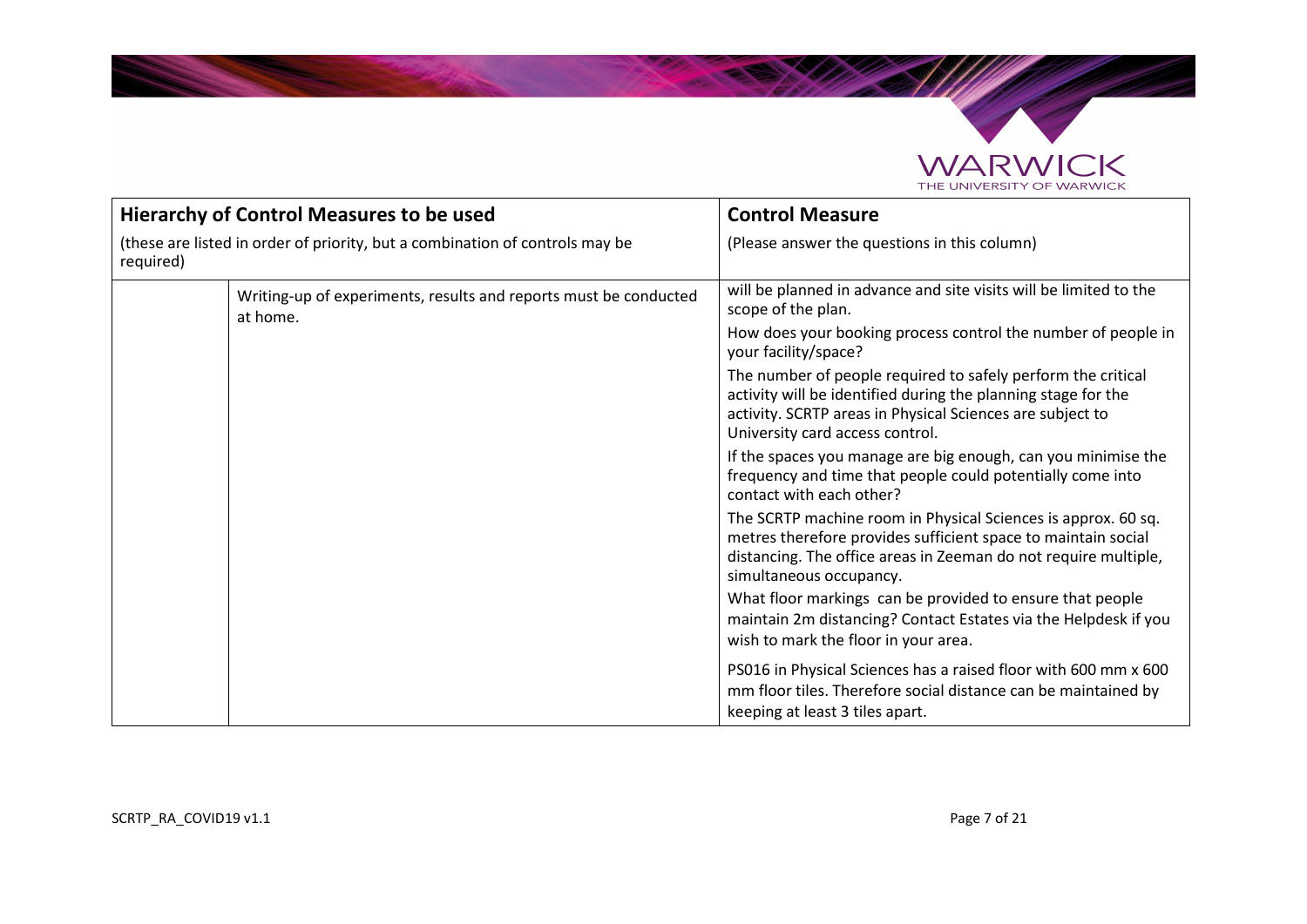

**Salari Career** 

| <b>Hierarchy of Control Measures to be used</b>                                           |                                                                              | <b>Control Measure</b>                                                                                                                                                                                                        |
|-------------------------------------------------------------------------------------------|------------------------------------------------------------------------------|-------------------------------------------------------------------------------------------------------------------------------------------------------------------------------------------------------------------------------|
| (these are listed in order of priority, but a combination of controls may be<br>required) |                                                                              | (Please answer the questions in this column)                                                                                                                                                                                  |
|                                                                                           | Writing-up of experiments, results and reports must be conducted<br>at home. | will be planned in advance and site visits will be limited to the<br>scope of the plan.                                                                                                                                       |
|                                                                                           |                                                                              | How does your booking process control the number of people in<br>your facility/space?                                                                                                                                         |
|                                                                                           |                                                                              | The number of people required to safely perform the critical<br>activity will be identified during the planning stage for the<br>activity. SCRTP areas in Physical Sciences are subject to<br>University card access control. |
|                                                                                           |                                                                              | If the spaces you manage are big enough, can you minimise the<br>frequency and time that people could potentially come into<br>contact with each other?                                                                       |
|                                                                                           |                                                                              | The SCRTP machine room in Physical Sciences is approx. 60 sq.<br>metres therefore provides sufficient space to maintain social<br>distancing. The office areas in Zeeman do not require multiple,<br>simultaneous occupancy.  |
|                                                                                           |                                                                              | What floor markings can be provided to ensure that people<br>maintain 2m distancing? Contact Estates via the Helpdesk if you<br>wish to mark the floor in your area.                                                          |
|                                                                                           |                                                                              | PS016 in Physical Sciences has a raised floor with 600 mm x 600<br>mm floor tiles. Therefore social distance can be maintained by<br>keeping at least 3 tiles apart.                                                          |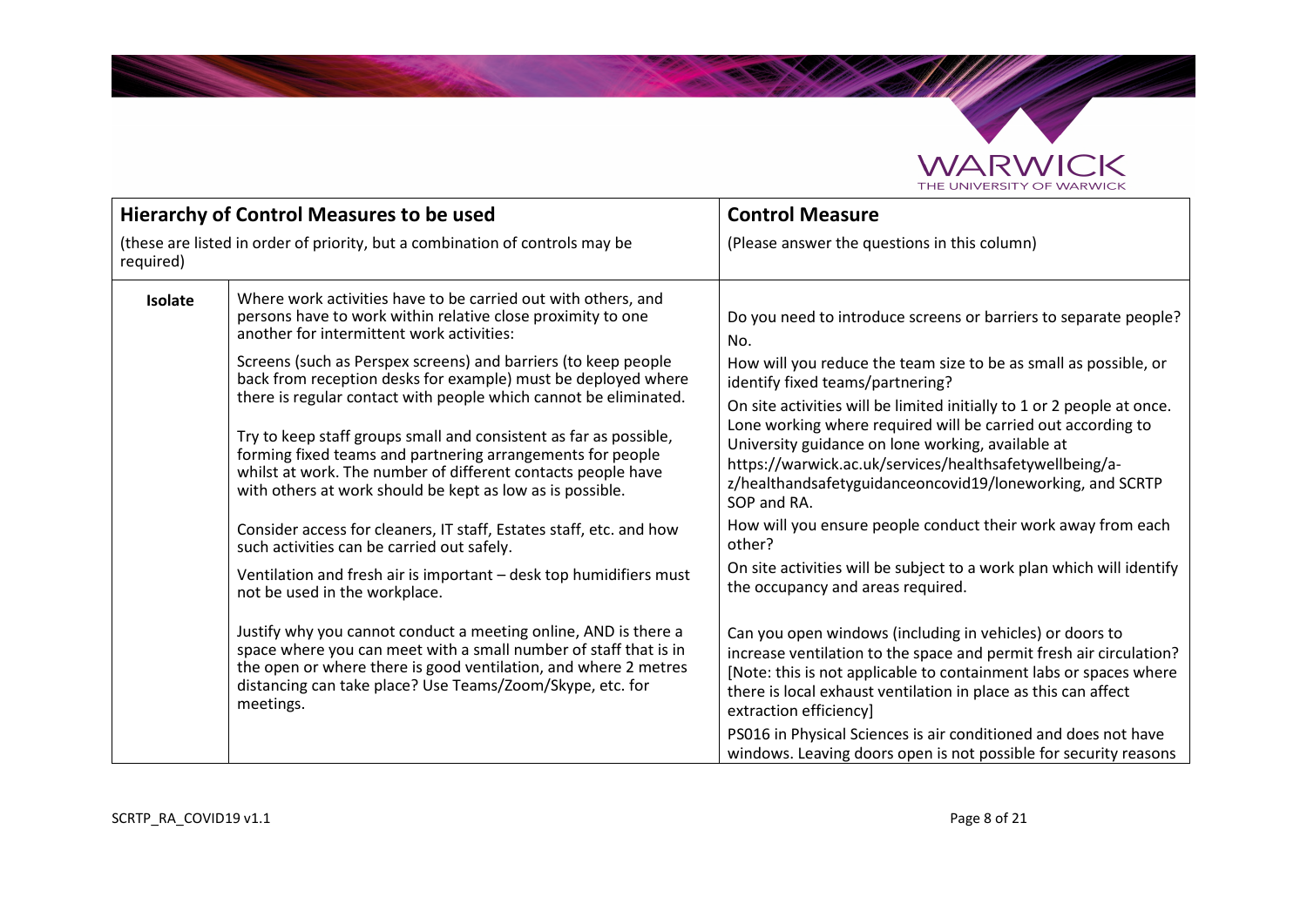

**Salary Company of Books and States** 

| <b>Hierarchy of Control Measures to be used</b>                                                                                 |                                                                                                                                                                                                                                                                                                                                  | <b>Control Measure</b>                                                                                                                                                                                                                                                                                                             |
|---------------------------------------------------------------------------------------------------------------------------------|----------------------------------------------------------------------------------------------------------------------------------------------------------------------------------------------------------------------------------------------------------------------------------------------------------------------------------|------------------------------------------------------------------------------------------------------------------------------------------------------------------------------------------------------------------------------------------------------------------------------------------------------------------------------------|
| required)                                                                                                                       | (these are listed in order of priority, but a combination of controls may be                                                                                                                                                                                                                                                     | (Please answer the questions in this column)                                                                                                                                                                                                                                                                                       |
| Isolate                                                                                                                         | Where work activities have to be carried out with others, and<br>persons have to work within relative close proximity to one<br>another for intermittent work activities:                                                                                                                                                        | Do you need to introduce screens or barriers to separate people?<br>No.                                                                                                                                                                                                                                                            |
| Screens (such as Perspex screens) and barriers (to keep people<br>back from reception desks for example) must be deployed where | How will you reduce the team size to be as small as possible, or<br>identify fixed teams/partnering?                                                                                                                                                                                                                             |                                                                                                                                                                                                                                                                                                                                    |
|                                                                                                                                 | there is regular contact with people which cannot be eliminated.<br>Try to keep staff groups small and consistent as far as possible,<br>forming fixed teams and partnering arrangements for people<br>whilst at work. The number of different contacts people have<br>with others at work should be kept as low as is possible. | On site activities will be limited initially to 1 or 2 people at once.<br>Lone working where required will be carried out according to<br>University guidance on lone working, available at<br>https://warwick.ac.uk/services/healthsafetywellbeing/a-<br>z/healthandsafetyguidanceoncovid19/loneworking, and SCRTP<br>SOP and RA. |
|                                                                                                                                 | Consider access for cleaners, IT staff, Estates staff, etc. and how<br>such activities can be carried out safely.                                                                                                                                                                                                                | How will you ensure people conduct their work away from each<br>other?                                                                                                                                                                                                                                                             |
|                                                                                                                                 | Ventilation and fresh air is important – desk top humidifiers must<br>not be used in the workplace.                                                                                                                                                                                                                              | On site activities will be subject to a work plan which will identify<br>the occupancy and areas required.                                                                                                                                                                                                                         |
|                                                                                                                                 | Justify why you cannot conduct a meeting online, AND is there a<br>space where you can meet with a small number of staff that is in<br>the open or where there is good ventilation, and where 2 metres<br>distancing can take place? Use Teams/Zoom/Skype, etc. for<br>meetings.                                                 | Can you open windows (including in vehicles) or doors to<br>increase ventilation to the space and permit fresh air circulation?<br>[Note: this is not applicable to containment labs or spaces where<br>there is local exhaust ventilation in place as this can affect<br>extraction efficiency]                                   |
|                                                                                                                                 |                                                                                                                                                                                                                                                                                                                                  | PS016 in Physical Sciences is air conditioned and does not have<br>windows. Leaving doors open is not possible for security reasons                                                                                                                                                                                                |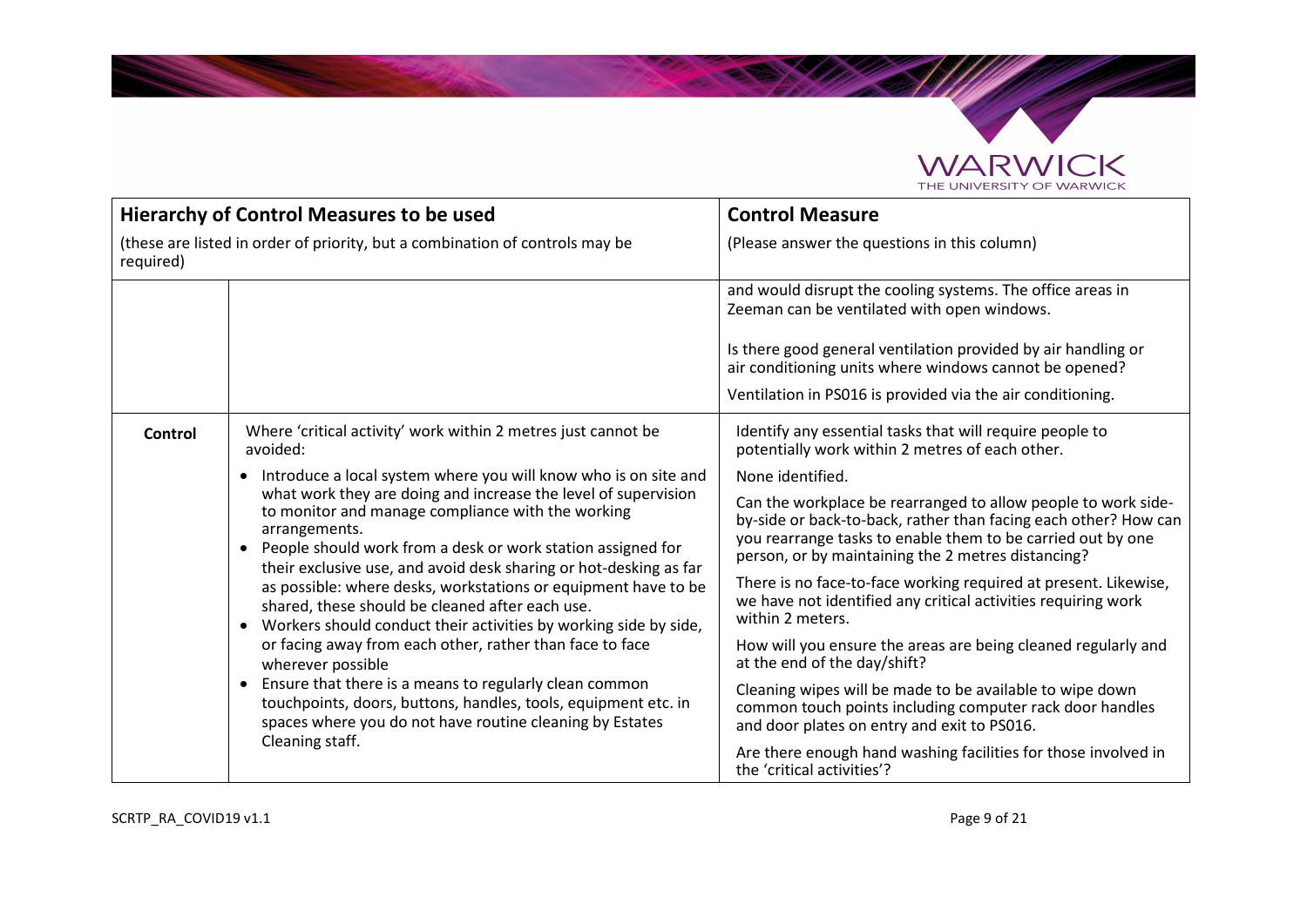

**Salary Company of Books and States** 

| <b>Hierarchy of Control Measures to be used</b>                                           |                                                                                                                                                                                                                                                                                                                                                                                                                                                                                                                                                                                                                                                                                                                                                                                   | <b>Control Measure</b>                                                                                                                                                                                                                                |
|-------------------------------------------------------------------------------------------|-----------------------------------------------------------------------------------------------------------------------------------------------------------------------------------------------------------------------------------------------------------------------------------------------------------------------------------------------------------------------------------------------------------------------------------------------------------------------------------------------------------------------------------------------------------------------------------------------------------------------------------------------------------------------------------------------------------------------------------------------------------------------------------|-------------------------------------------------------------------------------------------------------------------------------------------------------------------------------------------------------------------------------------------------------|
| (these are listed in order of priority, but a combination of controls may be<br>required) |                                                                                                                                                                                                                                                                                                                                                                                                                                                                                                                                                                                                                                                                                                                                                                                   | (Please answer the questions in this column)                                                                                                                                                                                                          |
|                                                                                           |                                                                                                                                                                                                                                                                                                                                                                                                                                                                                                                                                                                                                                                                                                                                                                                   | and would disrupt the cooling systems. The office areas in<br>Zeeman can be ventilated with open windows.                                                                                                                                             |
|                                                                                           |                                                                                                                                                                                                                                                                                                                                                                                                                                                                                                                                                                                                                                                                                                                                                                                   | Is there good general ventilation provided by air handling or<br>air conditioning units where windows cannot be opened?                                                                                                                               |
|                                                                                           |                                                                                                                                                                                                                                                                                                                                                                                                                                                                                                                                                                                                                                                                                                                                                                                   | Ventilation in PS016 is provided via the air conditioning.                                                                                                                                                                                            |
| <b>Control</b>                                                                            | Where 'critical activity' work within 2 metres just cannot be<br>avoided:                                                                                                                                                                                                                                                                                                                                                                                                                                                                                                                                                                                                                                                                                                         | Identify any essential tasks that will require people to<br>potentially work within 2 metres of each other.                                                                                                                                           |
|                                                                                           | Introduce a local system where you will know who is on site and<br>$\bullet$                                                                                                                                                                                                                                                                                                                                                                                                                                                                                                                                                                                                                                                                                                      | None identified.                                                                                                                                                                                                                                      |
|                                                                                           | what work they are doing and increase the level of supervision<br>to monitor and manage compliance with the working<br>arrangements.<br>People should work from a desk or work station assigned for<br>$\bullet$<br>their exclusive use, and avoid desk sharing or hot-desking as far<br>as possible: where desks, workstations or equipment have to be<br>shared, these should be cleaned after each use.<br>Workers should conduct their activities by working side by side,<br>$\bullet$<br>or facing away from each other, rather than face to face<br>wherever possible<br>Ensure that there is a means to regularly clean common<br>$\bullet$<br>touchpoints, doors, buttons, handles, tools, equipment etc. in<br>spaces where you do not have routine cleaning by Estates | Can the workplace be rearranged to allow people to work side-<br>by-side or back-to-back, rather than facing each other? How can<br>you rearrange tasks to enable them to be carried out by one<br>person, or by maintaining the 2 metres distancing? |
|                                                                                           |                                                                                                                                                                                                                                                                                                                                                                                                                                                                                                                                                                                                                                                                                                                                                                                   | There is no face-to-face working required at present. Likewise,<br>we have not identified any critical activities requiring work<br>within 2 meters.                                                                                                  |
|                                                                                           |                                                                                                                                                                                                                                                                                                                                                                                                                                                                                                                                                                                                                                                                                                                                                                                   | How will you ensure the areas are being cleaned regularly and<br>at the end of the day/shift?                                                                                                                                                         |
|                                                                                           |                                                                                                                                                                                                                                                                                                                                                                                                                                                                                                                                                                                                                                                                                                                                                                                   | Cleaning wipes will be made to be available to wipe down<br>common touch points including computer rack door handles<br>and door plates on entry and exit to PS016.                                                                                   |
|                                                                                           | Cleaning staff.                                                                                                                                                                                                                                                                                                                                                                                                                                                                                                                                                                                                                                                                                                                                                                   | Are there enough hand washing facilities for those involved in<br>the 'critical activities'?                                                                                                                                                          |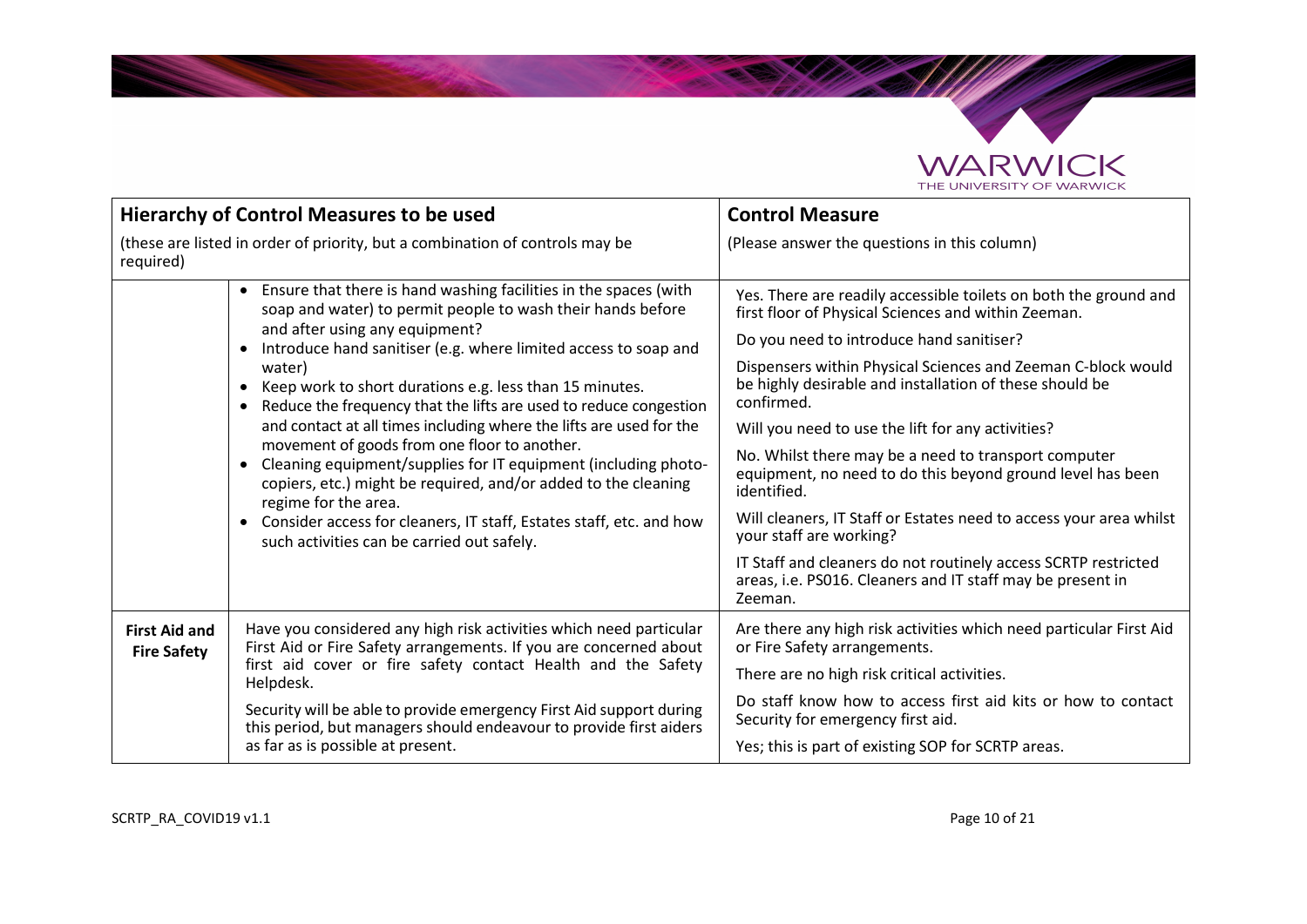

**Salary Company of Books and States** 

|                                            | <b>Hierarchy of Control Measures to be used</b>                                                                                                                                                                                                                                                                                                                                                                                                                                                                                                                                                                                                                                                                                                                                                                  | <b>Control Measure</b>                                                                                                                                                                                                                                                                                                                                                                                                                                                                                                                                                                                                                                                                                                                             |
|--------------------------------------------|------------------------------------------------------------------------------------------------------------------------------------------------------------------------------------------------------------------------------------------------------------------------------------------------------------------------------------------------------------------------------------------------------------------------------------------------------------------------------------------------------------------------------------------------------------------------------------------------------------------------------------------------------------------------------------------------------------------------------------------------------------------------------------------------------------------|----------------------------------------------------------------------------------------------------------------------------------------------------------------------------------------------------------------------------------------------------------------------------------------------------------------------------------------------------------------------------------------------------------------------------------------------------------------------------------------------------------------------------------------------------------------------------------------------------------------------------------------------------------------------------------------------------------------------------------------------------|
| required)                                  | (these are listed in order of priority, but a combination of controls may be                                                                                                                                                                                                                                                                                                                                                                                                                                                                                                                                                                                                                                                                                                                                     | (Please answer the questions in this column)                                                                                                                                                                                                                                                                                                                                                                                                                                                                                                                                                                                                                                                                                                       |
|                                            | Ensure that there is hand washing facilities in the spaces (with<br>$\bullet$<br>soap and water) to permit people to wash their hands before<br>and after using any equipment?<br>Introduce hand sanitiser (e.g. where limited access to soap and<br>water)<br>Keep work to short durations e.g. less than 15 minutes.<br>Reduce the frequency that the lifts are used to reduce congestion<br>and contact at all times including where the lifts are used for the<br>movement of goods from one floor to another.<br>Cleaning equipment/supplies for IT equipment (including photo-<br>$\bullet$<br>copiers, etc.) might be required, and/or added to the cleaning<br>regime for the area.<br>Consider access for cleaners, IT staff, Estates staff, etc. and how<br>such activities can be carried out safely. | Yes. There are readily accessible toilets on both the ground and<br>first floor of Physical Sciences and within Zeeman.<br>Do you need to introduce hand sanitiser?<br>Dispensers within Physical Sciences and Zeeman C-block would<br>be highly desirable and installation of these should be<br>confirmed.<br>Will you need to use the lift for any activities?<br>No. Whilst there may be a need to transport computer<br>equipment, no need to do this beyond ground level has been<br>identified.<br>Will cleaners, IT Staff or Estates need to access your area whilst<br>your staff are working?<br>IT Staff and cleaners do not routinely access SCRTP restricted<br>areas, i.e. PS016. Cleaners and IT staff may be present in<br>Zeeman. |
| <b>First Aid and</b><br><b>Fire Safety</b> | Have you considered any high risk activities which need particular<br>First Aid or Fire Safety arrangements. If you are concerned about<br>first aid cover or fire safety contact Health and the Safety<br>Helpdesk.<br>Security will be able to provide emergency First Aid support during<br>this period, but managers should endeavour to provide first aiders<br>as far as is possible at present.                                                                                                                                                                                                                                                                                                                                                                                                           | Are there any high risk activities which need particular First Aid<br>or Fire Safety arrangements.<br>There are no high risk critical activities.<br>Do staff know how to access first aid kits or how to contact<br>Security for emergency first aid.<br>Yes; this is part of existing SOP for SCRTP areas.                                                                                                                                                                                                                                                                                                                                                                                                                                       |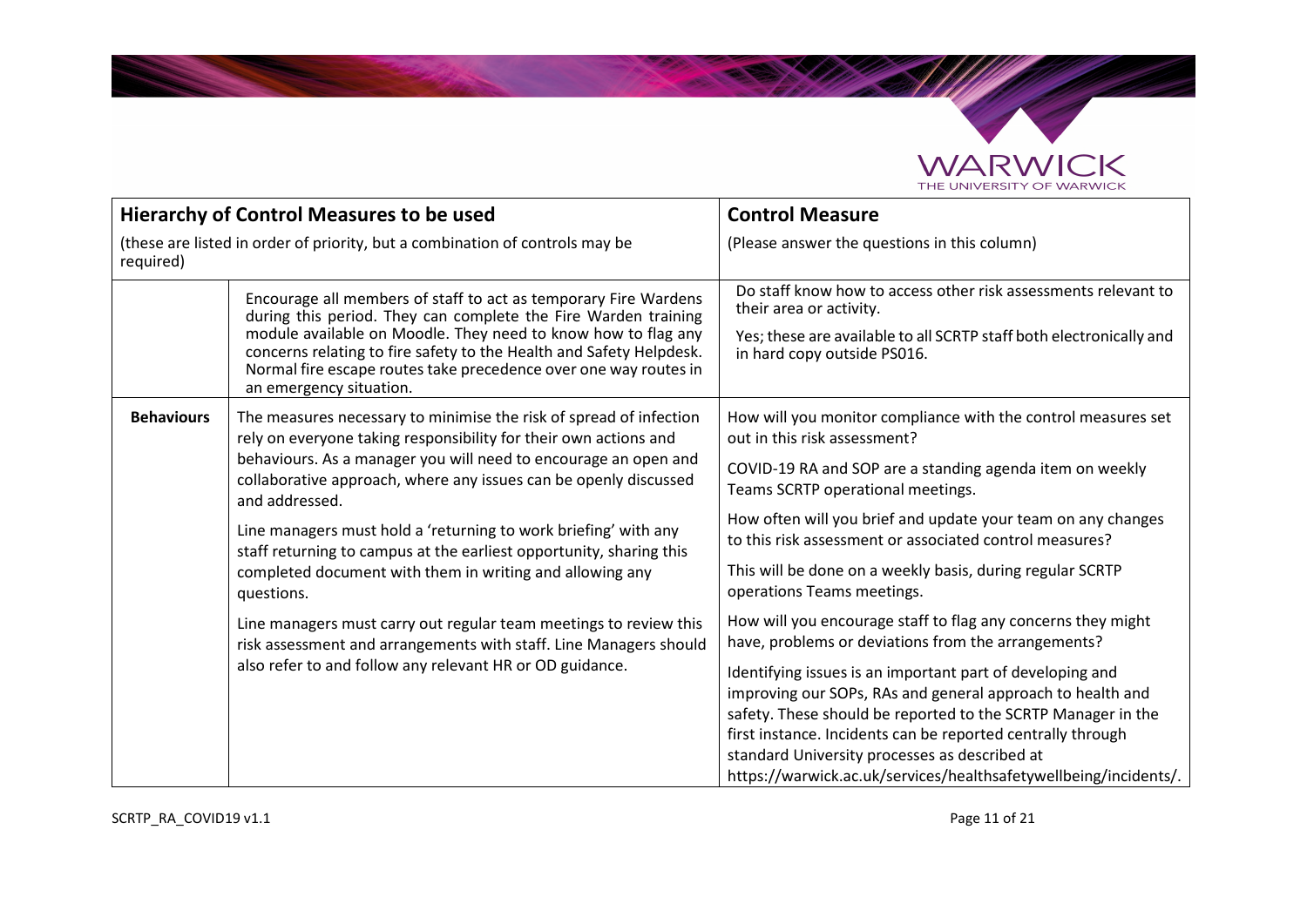

**SANDRO** 

|                                                                                           | <b>Hierarchy of Control Measures to be used</b>                                                                                                                                                                                                                                                                                                                                                                                                                                                       | <b>Control Measure</b>                                                                                                                                                                                                                                                                                                                                                                                                                                                                             |
|-------------------------------------------------------------------------------------------|-------------------------------------------------------------------------------------------------------------------------------------------------------------------------------------------------------------------------------------------------------------------------------------------------------------------------------------------------------------------------------------------------------------------------------------------------------------------------------------------------------|----------------------------------------------------------------------------------------------------------------------------------------------------------------------------------------------------------------------------------------------------------------------------------------------------------------------------------------------------------------------------------------------------------------------------------------------------------------------------------------------------|
| (these are listed in order of priority, but a combination of controls may be<br>required) |                                                                                                                                                                                                                                                                                                                                                                                                                                                                                                       | (Please answer the questions in this column)                                                                                                                                                                                                                                                                                                                                                                                                                                                       |
|                                                                                           | Encourage all members of staff to act as temporary Fire Wardens<br>during this period. They can complete the Fire Warden training<br>module available on Moodle. They need to know how to flag any<br>concerns relating to fire safety to the Health and Safety Helpdesk.<br>Normal fire escape routes take precedence over one way routes in<br>an emergency situation.                                                                                                                              | Do staff know how to access other risk assessments relevant to<br>their area or activity.<br>Yes; these are available to all SCRTP staff both electronically and<br>in hard copy outside PS016.                                                                                                                                                                                                                                                                                                    |
| <b>Behaviours</b>                                                                         | The measures necessary to minimise the risk of spread of infection<br>rely on everyone taking responsibility for their own actions and<br>behaviours. As a manager you will need to encourage an open and<br>collaborative approach, where any issues can be openly discussed<br>and addressed.<br>Line managers must hold a 'returning to work briefing' with any<br>staff returning to campus at the earliest opportunity, sharing this<br>completed document with them in writing and allowing any | How will you monitor compliance with the control measures set<br>out in this risk assessment?<br>COVID-19 RA and SOP are a standing agenda item on weekly<br>Teams SCRTP operational meetings.<br>How often will you brief and update your team on any changes<br>to this risk assessment or associated control measures?<br>This will be done on a weekly basis, during regular SCRTP<br>operations Teams meetings.                                                                               |
|                                                                                           | questions.<br>Line managers must carry out regular team meetings to review this<br>risk assessment and arrangements with staff. Line Managers should<br>also refer to and follow any relevant HR or OD guidance.                                                                                                                                                                                                                                                                                      | How will you encourage staff to flag any concerns they might<br>have, problems or deviations from the arrangements?<br>Identifying issues is an important part of developing and<br>improving our SOPs, RAs and general approach to health and<br>safety. These should be reported to the SCRTP Manager in the<br>first instance. Incidents can be reported centrally through<br>standard University processes as described at<br>https://warwick.ac.uk/services/healthsafetywellbeing/incidents/. |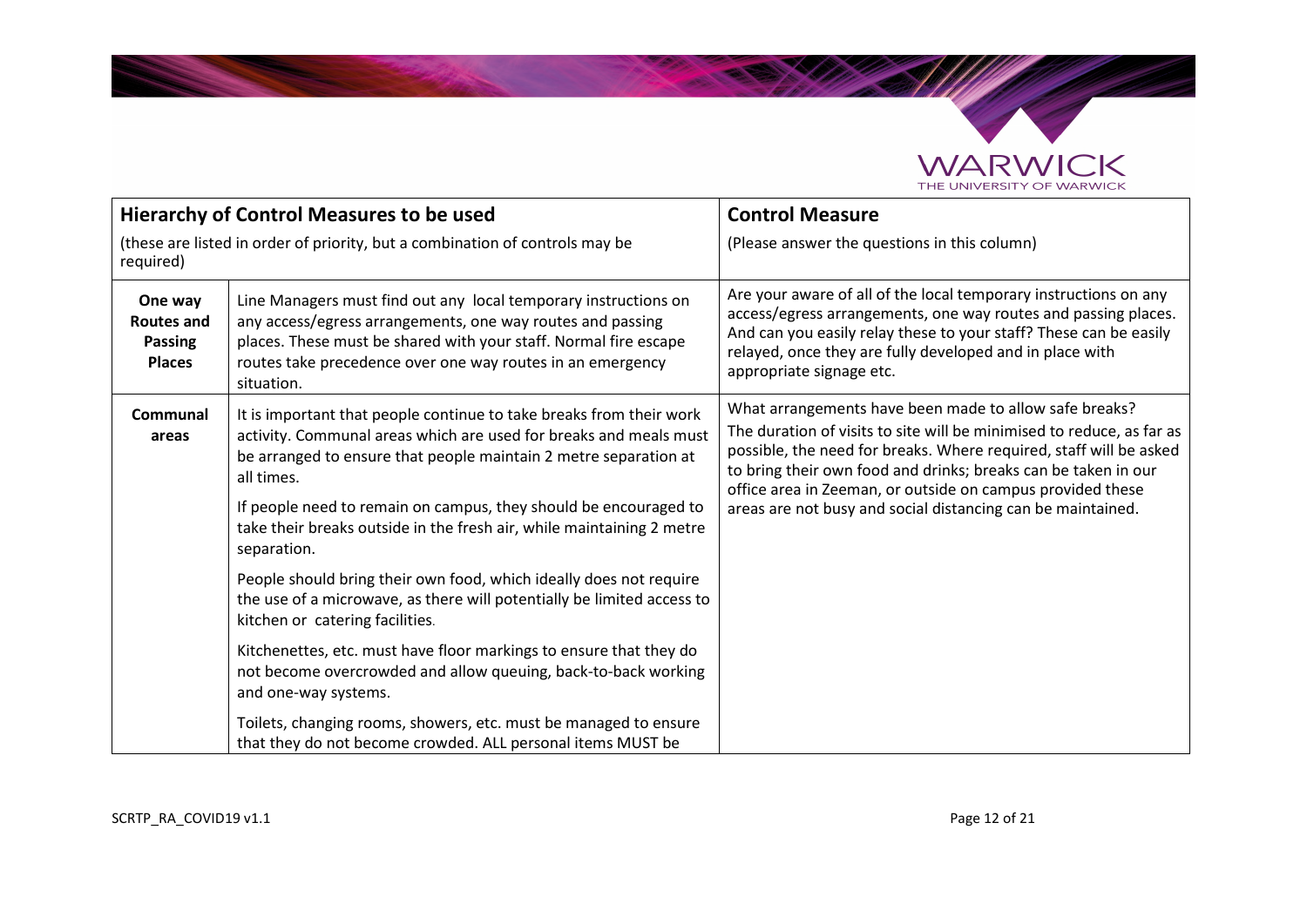

**Salary September 2000** 

|                                                                 | <b>Hierarchy of Control Measures to be used</b>                                                                                                                                                                                                                                                                                                                                        | <b>Control Measure</b>                                                                                                                                                                                                                                                                                                                                                                               |
|-----------------------------------------------------------------|----------------------------------------------------------------------------------------------------------------------------------------------------------------------------------------------------------------------------------------------------------------------------------------------------------------------------------------------------------------------------------------|------------------------------------------------------------------------------------------------------------------------------------------------------------------------------------------------------------------------------------------------------------------------------------------------------------------------------------------------------------------------------------------------------|
| required)                                                       | (these are listed in order of priority, but a combination of controls may be                                                                                                                                                                                                                                                                                                           | (Please answer the questions in this column)                                                                                                                                                                                                                                                                                                                                                         |
| One way<br><b>Routes and</b><br><b>Passing</b><br><b>Places</b> | Line Managers must find out any local temporary instructions on<br>any access/egress arrangements, one way routes and passing<br>places. These must be shared with your staff. Normal fire escape<br>routes take precedence over one way routes in an emergency<br>situation.                                                                                                          | Are your aware of all of the local temporary instructions on any<br>access/egress arrangements, one way routes and passing places.<br>And can you easily relay these to your staff? These can be easily<br>relayed, once they are fully developed and in place with<br>appropriate signage etc.                                                                                                      |
| Communal<br>areas                                               | It is important that people continue to take breaks from their work<br>activity. Communal areas which are used for breaks and meals must<br>be arranged to ensure that people maintain 2 metre separation at<br>all times.<br>If people need to remain on campus, they should be encouraged to<br>take their breaks outside in the fresh air, while maintaining 2 metre<br>separation. | What arrangements have been made to allow safe breaks?<br>The duration of visits to site will be minimised to reduce, as far as<br>possible, the need for breaks. Where required, staff will be asked<br>to bring their own food and drinks; breaks can be taken in our<br>office area in Zeeman, or outside on campus provided these<br>areas are not busy and social distancing can be maintained. |
|                                                                 | People should bring their own food, which ideally does not require<br>the use of a microwave, as there will potentially be limited access to<br>kitchen or catering facilities.                                                                                                                                                                                                        |                                                                                                                                                                                                                                                                                                                                                                                                      |
|                                                                 | Kitchenettes, etc. must have floor markings to ensure that they do<br>not become overcrowded and allow queuing, back-to-back working<br>and one-way systems.                                                                                                                                                                                                                           |                                                                                                                                                                                                                                                                                                                                                                                                      |
|                                                                 | Toilets, changing rooms, showers, etc. must be managed to ensure<br>that they do not become crowded. ALL personal items MUST be                                                                                                                                                                                                                                                        |                                                                                                                                                                                                                                                                                                                                                                                                      |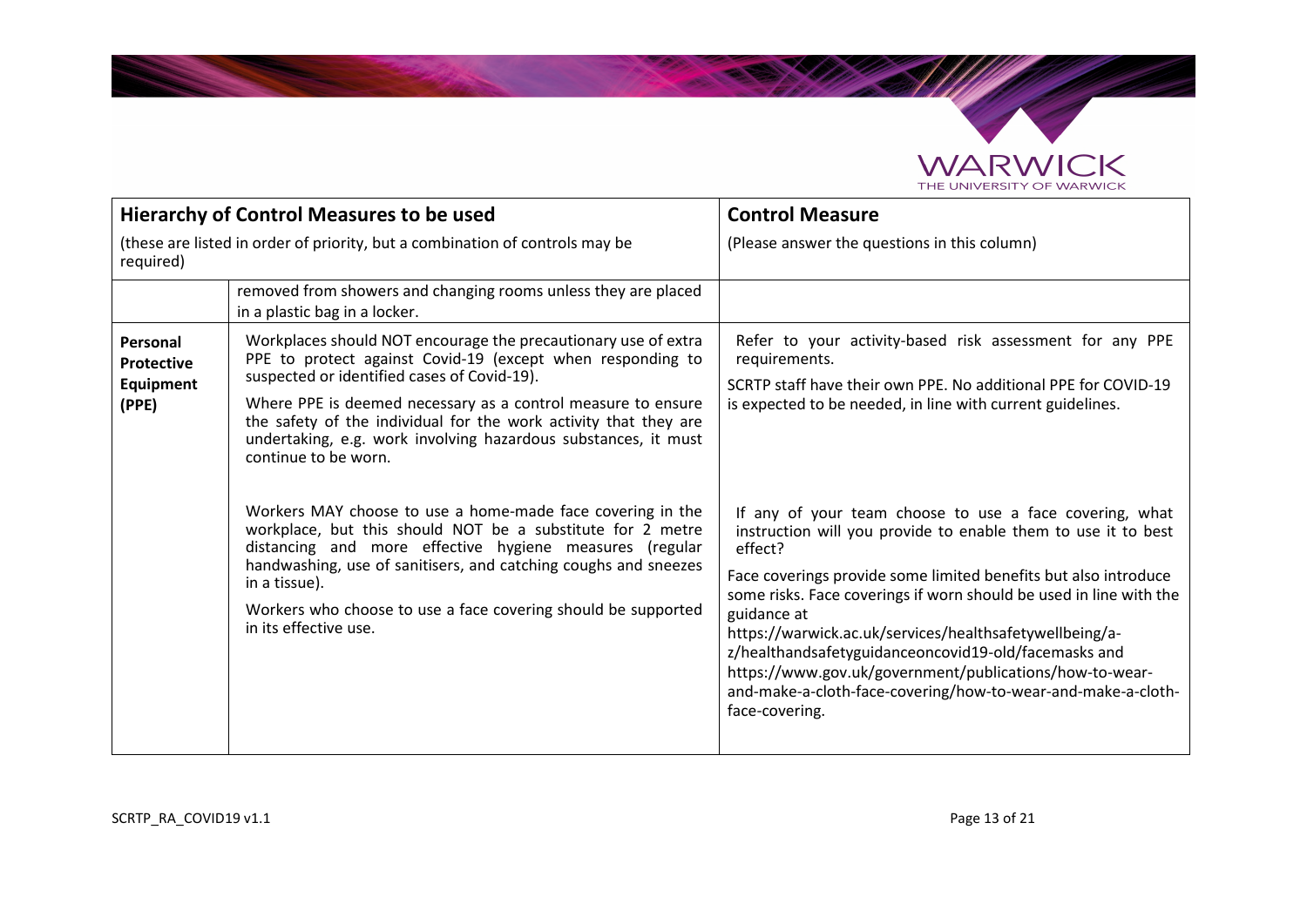

**School College College** 

|                                                                                           | <b>Hierarchy of Control Measures to be used</b>                                                                                                                                                                                                                                                                                                                                                           | <b>Control Measure</b>                                                                                                                                                                                                                                                                                                                                                                                                                                                                                                                                      |
|-------------------------------------------------------------------------------------------|-----------------------------------------------------------------------------------------------------------------------------------------------------------------------------------------------------------------------------------------------------------------------------------------------------------------------------------------------------------------------------------------------------------|-------------------------------------------------------------------------------------------------------------------------------------------------------------------------------------------------------------------------------------------------------------------------------------------------------------------------------------------------------------------------------------------------------------------------------------------------------------------------------------------------------------------------------------------------------------|
| (these are listed in order of priority, but a combination of controls may be<br>required) |                                                                                                                                                                                                                                                                                                                                                                                                           | (Please answer the questions in this column)                                                                                                                                                                                                                                                                                                                                                                                                                                                                                                                |
|                                                                                           | removed from showers and changing rooms unless they are placed<br>in a plastic bag in a locker.                                                                                                                                                                                                                                                                                                           |                                                                                                                                                                                                                                                                                                                                                                                                                                                                                                                                                             |
| Personal<br>Protective<br>Equipment<br>(PPE)                                              | Workplaces should NOT encourage the precautionary use of extra<br>PPE to protect against Covid-19 (except when responding to<br>suspected or identified cases of Covid-19).<br>Where PPE is deemed necessary as a control measure to ensure<br>the safety of the individual for the work activity that they are<br>undertaking, e.g. work involving hazardous substances, it must<br>continue to be worn. | Refer to your activity-based risk assessment for any PPE<br>requirements.<br>SCRTP staff have their own PPE. No additional PPE for COVID-19<br>is expected to be needed, in line with current guidelines.                                                                                                                                                                                                                                                                                                                                                   |
|                                                                                           | Workers MAY choose to use a home-made face covering in the<br>workplace, but this should NOT be a substitute for 2 metre<br>distancing and more effective hygiene measures (regular<br>handwashing, use of sanitisers, and catching coughs and sneezes<br>in a tissue).<br>Workers who choose to use a face covering should be supported<br>in its effective use.                                         | If any of your team choose to use a face covering, what<br>instruction will you provide to enable them to use it to best<br>effect?<br>Face coverings provide some limited benefits but also introduce<br>some risks. Face coverings if worn should be used in line with the<br>guidance at<br>https://warwick.ac.uk/services/healthsafetywellbeing/a-<br>z/healthandsafetyguidanceoncovid19-old/facemasks and<br>https://www.gov.uk/government/publications/how-to-wear-<br>and-make-a-cloth-face-covering/how-to-wear-and-make-a-cloth-<br>face-covering. |

<u> Samuel Barnett av Starting</u>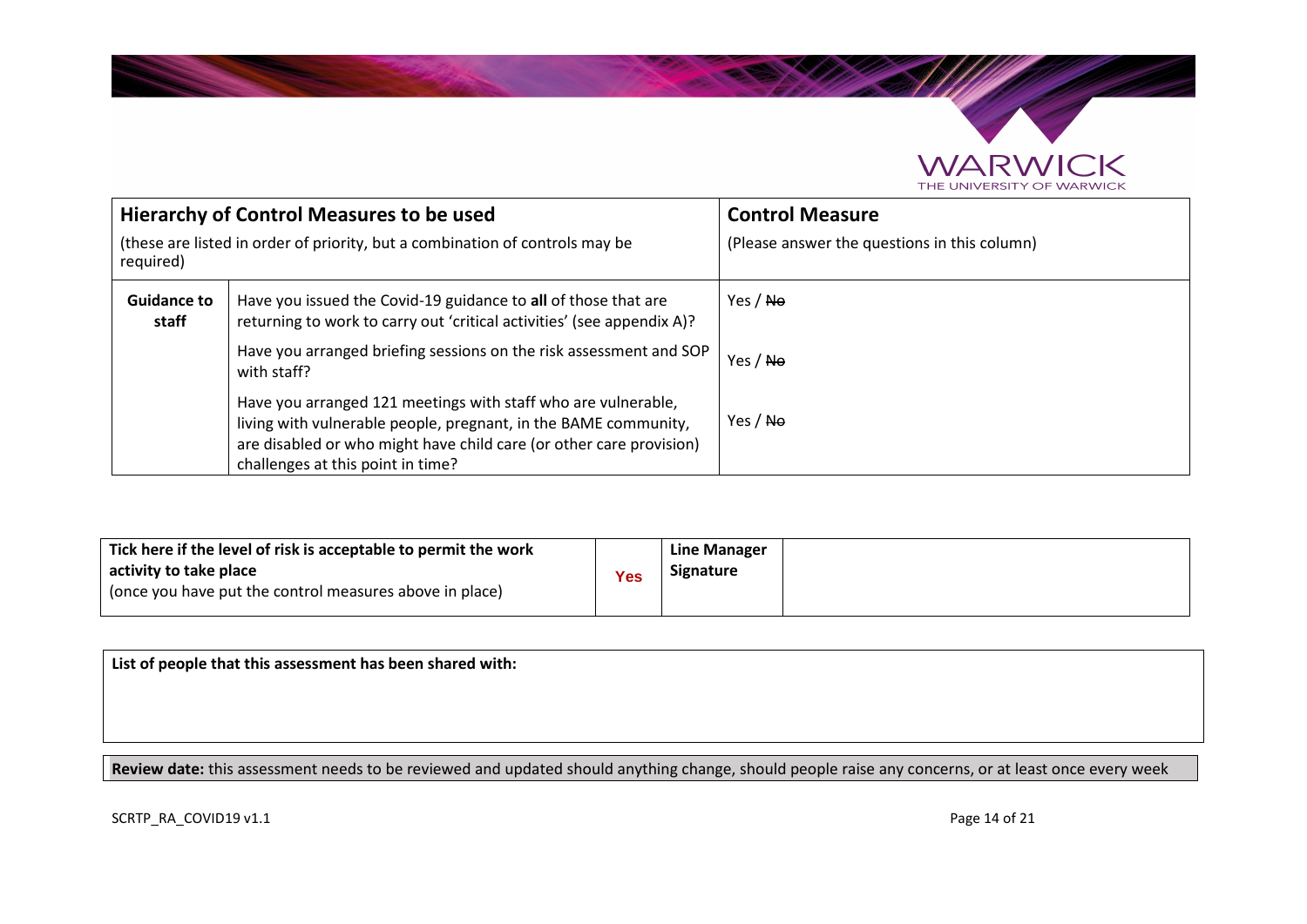

| Hierarchy of Control Measures to be used |                                                                                                                                                                                                                                              | <b>Control Measure</b>                       |
|------------------------------------------|----------------------------------------------------------------------------------------------------------------------------------------------------------------------------------------------------------------------------------------------|----------------------------------------------|
| required)                                | (these are listed in order of priority, but a combination of controls may be                                                                                                                                                                 | (Please answer the questions in this column) |
| <b>Guidance to</b><br>staff              | Have you issued the Covid-19 guidance to all of those that are<br>returning to work to carry out 'critical activities' (see appendix A)?                                                                                                     | Yes / No                                     |
|                                          | Have you arranged briefing sessions on the risk assessment and SOP<br>with staff?                                                                                                                                                            | Yes / No                                     |
|                                          | Have you arranged 121 meetings with staff who are vulnerable,<br>living with vulnerable people, pregnant, in the BAME community,<br>are disabled or who might have child care (or other care provision)<br>challenges at this point in time? | Yes / No                                     |

| Tick here if the level of risk is acceptable to permit the work<br>activity to take place<br>(once you have put the control measures above in place) | Yes | Line Manager<br><b>Signature</b> |
|------------------------------------------------------------------------------------------------------------------------------------------------------|-----|----------------------------------|
|                                                                                                                                                      |     |                                  |

**List of people that this assessment has been shared with:** 

**Review date:** this assessment needs to be reviewed and updated should anything change, should people raise any concerns, or at least once every week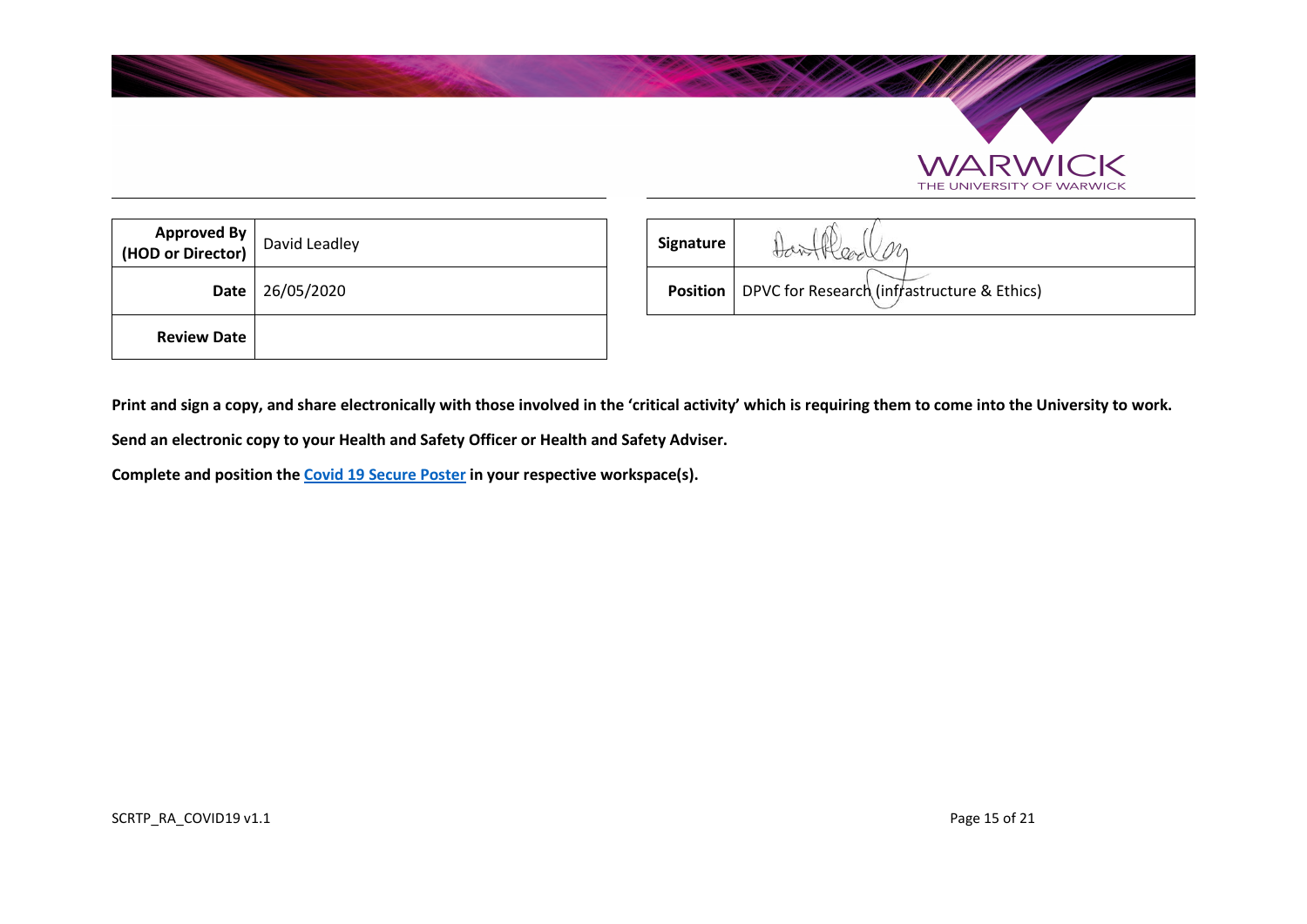

| Approved By<br> HOD or Director) | David Leadley | Signature       |
|----------------------------------|---------------|-----------------|
| Date                             | 26/05/2020    | <b>Position</b> |
| <b>Review Date</b>               |               |                 |

| d By! | $\left\lceil \frac{\text{c}{\mathbf{u}} \mathbf{b}_{\mathbf{y}}}{\text{c}{\mathbf{t}}} \right\rceil$ David Leadley | Signature | Han Head on                                                   |
|-------|--------------------------------------------------------------------------------------------------------------------|-----------|---------------------------------------------------------------|
|       | Date 26/05/2020                                                                                                    |           | <b>Position</b>   DPVC for Research (infrastructure & Ethics) |

 $\supset$ K

RWK THE UNIVERSITY OF WARWICK

**Print and sign a copy, and share electronically with those involved in the 'critical activity' which is requiring them to come into the University to work.** 

**Send an electronic copy to your Health and Safety Officer or Health and Safety Adviser.** 

**Complete and position the Covid 19 Secure Poster in your respective workspace(s).**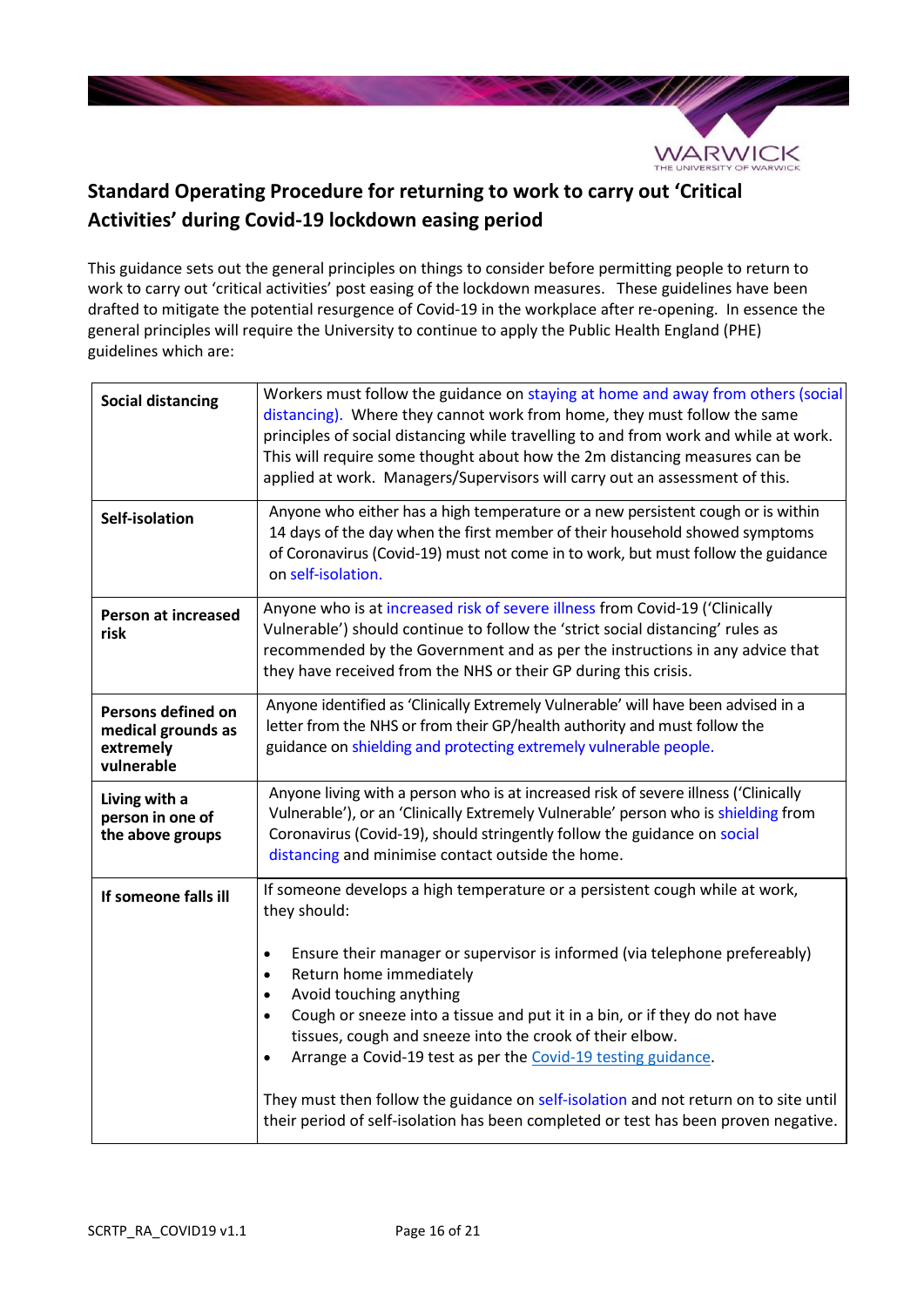

# **Standard Operating Procedure for returning to work to carry out 'Critical Activities' during Covid-19 lockdown easing period**

This guidance sets out the general principles on things to consider before permitting people to return to work to carry out 'critical activities' post easing of the lockdown measures. These guidelines have been drafted to mitigate the potential resurgence of Covid-19 in the workplace after re-opening. In essence the general principles will require the University to continue to apply the Public Health England (PHE) guidelines which are:

| <b>Social distancing</b>                                            | Workers must follow the guidance on staying at home and away from others (social<br>distancing). Where they cannot work from home, they must follow the same<br>principles of social distancing while travelling to and from work and while at work.<br>This will require some thought about how the 2m distancing measures can be<br>applied at work. Managers/Supervisors will carry out an assessment of this.                                                                                                                                                                                                                                                                         |
|---------------------------------------------------------------------|-------------------------------------------------------------------------------------------------------------------------------------------------------------------------------------------------------------------------------------------------------------------------------------------------------------------------------------------------------------------------------------------------------------------------------------------------------------------------------------------------------------------------------------------------------------------------------------------------------------------------------------------------------------------------------------------|
| Self-isolation                                                      | Anyone who either has a high temperature or a new persistent cough or is within<br>14 days of the day when the first member of their household showed symptoms<br>of Coronavirus (Covid-19) must not come in to work, but must follow the guidance<br>on self-isolation.                                                                                                                                                                                                                                                                                                                                                                                                                  |
| <b>Person at increased</b><br>risk                                  | Anyone who is at increased risk of severe illness from Covid-19 ('Clinically<br>Vulnerable') should continue to follow the 'strict social distancing' rules as<br>recommended by the Government and as per the instructions in any advice that<br>they have received from the NHS or their GP during this crisis.                                                                                                                                                                                                                                                                                                                                                                         |
| Persons defined on<br>medical grounds as<br>extremely<br>vulnerable | Anyone identified as 'Clinically Extremely Vulnerable' will have been advised in a<br>letter from the NHS or from their GP/health authority and must follow the<br>guidance on shielding and protecting extremely vulnerable people.                                                                                                                                                                                                                                                                                                                                                                                                                                                      |
| Living with a<br>person in one of<br>the above groups               | Anyone living with a person who is at increased risk of severe illness ('Clinically<br>Vulnerable'), or an 'Clinically Extremely Vulnerable' person who is shielding from<br>Coronavirus (Covid-19), should stringently follow the guidance on social<br>distancing and minimise contact outside the home.                                                                                                                                                                                                                                                                                                                                                                                |
| If someone falls ill                                                | If someone develops a high temperature or a persistent cough while at work,<br>they should:<br>Ensure their manager or supervisor is informed (via telephone prefereably)<br>$\bullet$<br>Return home immediately<br>$\bullet$<br>Avoid touching anything<br>$\bullet$<br>Cough or sneeze into a tissue and put it in a bin, or if they do not have<br>$\bullet$<br>tissues, cough and sneeze into the crook of their elbow.<br>Arrange a Covid-19 test as per the Covid-19 testing guidance.<br>$\bullet$<br>They must then follow the guidance on self-isolation and not return on to site until<br>their period of self-isolation has been completed or test has been proven negative. |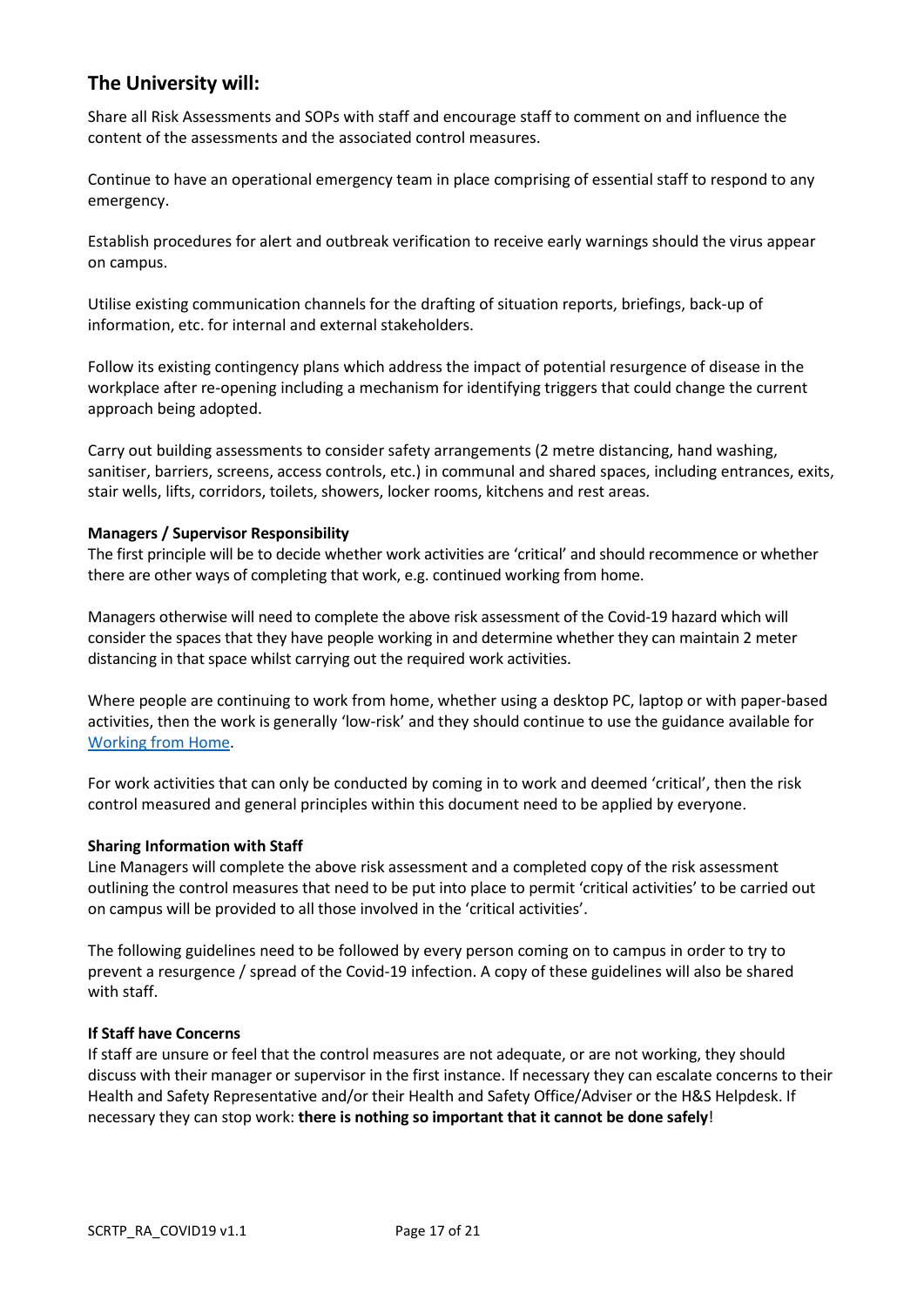# **The University will:**

Share all Risk Assessments and SOPs with staff and encourage staff to comment on and influence the content of the assessments and the associated control measures.

Continue to have an operational emergency team in place comprising of essential staff to respond to any emergency.

Establish procedures for alert and outbreak verification to receive early warnings should the virus appear on campus.

Utilise existing communication channels for the drafting of situation reports, briefings, back-up of information, etc. for internal and external stakeholders.

Follow its existing contingency plans which address the impact of potential resurgence of disease in the workplace after re-opening including a mechanism for identifying triggers that could change the current approach being adopted.

Carry out building assessments to consider safety arrangements (2 metre distancing, hand washing, sanitiser, barriers, screens, access controls, etc.) in communal and shared spaces, including entrances, exits, stair wells, lifts, corridors, toilets, showers, locker rooms, kitchens and rest areas.

## **Managers / Supervisor Responsibility**

The first principle will be to decide whether work activities are 'critical' and should recommence or whether there are other ways of completing that work, e.g. continued working from home.

Managers otherwise will need to complete the above risk assessment of the Covid-19 hazard which will consider the spaces that they have people working in and determine whether they can maintain 2 meter distancing in that space whilst carrying out the required work activities.

Where people are continuing to work from home, whether using a desktop PC, laptop or with paper-based activities, then the work is generally 'low-risk' and they should continue to use the guidance available for Working from Home.

For work activities that can only be conducted by coming in to work and deemed 'critical', then the risk control measured and general principles within this document need to be applied by everyone.

## **Sharing Information with Staff**

Line Managers will complete the above risk assessment and a completed copy of the risk assessment outlining the control measures that need to be put into place to permit 'critical activities' to be carried out on campus will be provided to all those involved in the 'critical activities'.

The following guidelines need to be followed by every person coming on to campus in order to try to prevent a resurgence / spread of the Covid-19 infection. A copy of these guidelines will also be shared with staff.

#### **If Staff have Concerns**

If staff are unsure or feel that the control measures are not adequate, or are not working, they should discuss with their manager or supervisor in the first instance. If necessary they can escalate concerns to their Health and Safety Representative and/or their Health and Safety Office/Adviser or the H&S Helpdesk. If necessary they can stop work: **there is nothing so important that it cannot be done safely**!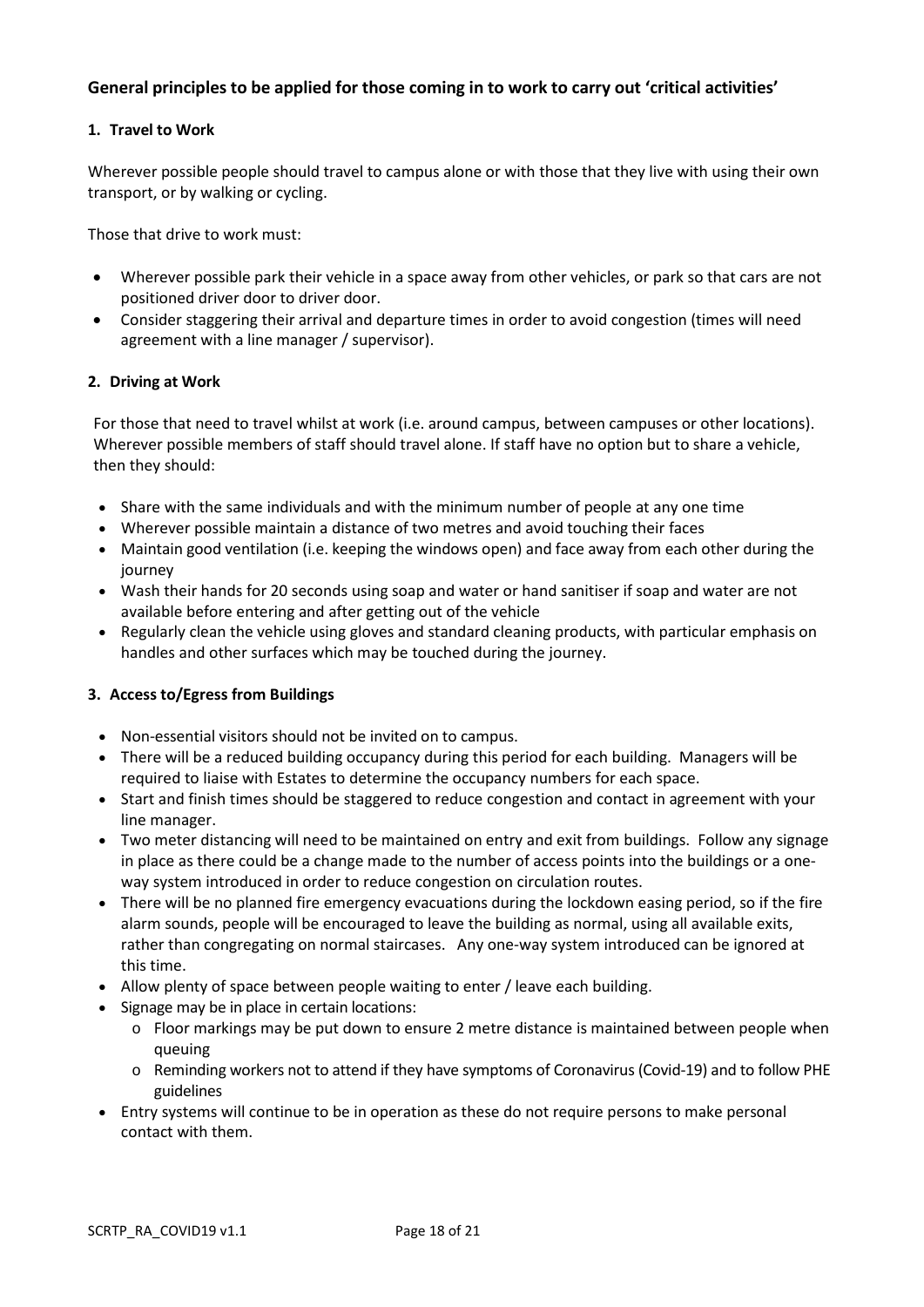# **General principles to be applied for those coming in to work to carry out 'critical activities'**

## **1. Travel to Work**

Wherever possible people should travel to campus alone or with those that they live with using their own transport, or by walking or cycling.

Those that drive to work must:

- Wherever possible park their vehicle in a space away from other vehicles, or park so that cars are not positioned driver door to driver door.
- Consider staggering their arrival and departure times in order to avoid congestion (times will need agreement with a line manager / supervisor).

## **2. Driving at Work**

For those that need to travel whilst at work (i.e. around campus, between campuses or other locations). Wherever possible members of staff should travel alone. If staff have no option but to share a vehicle, then they should:

- Share with the same individuals and with the minimum number of people at any one time
- Wherever possible maintain a distance of two metres and avoid touching their faces
- Maintain good ventilation (i.e. keeping the windows open) and face away from each other during the journey
- Wash their hands for 20 seconds using soap and water or hand sanitiser if soap and water are not available before entering and after getting out of the vehicle
- Regularly clean the vehicle using gloves and standard cleaning products, with particular emphasis on handles and other surfaces which may be touched during the journey.

## **3. Access to/Egress from Buildings**

- Non-essential visitors should not be invited on to campus.
- There will be a reduced building occupancy during this period for each building. Managers will be required to liaise with Estates to determine the occupancy numbers for each space.
- Start and finish times should be staggered to reduce congestion and contact in agreement with your line manager.
- Two meter distancing will need to be maintained on entry and exit from buildings. Follow any signage in place as there could be a change made to the number of access points into the buildings or a oneway system introduced in order to reduce congestion on circulation routes.
- There will be no planned fire emergency evacuations during the lockdown easing period, so if the fire alarm sounds, people will be encouraged to leave the building as normal, using all available exits, rather than congregating on normal staircases. Any one-way system introduced can be ignored at this time.
- Allow plenty of space between people waiting to enter / leave each building.
- Signage may be in place in certain locations:
	- $\circ$  Floor markings may be put down to ensure 2 metre distance is maintained between people when queuing
	- o Reminding workers not to attend if they have symptoms of Coronavirus (Covid-19) and to follow PHE guidelines
- Entry systems will continue to be in operation as these do not require persons to make personal contact with them.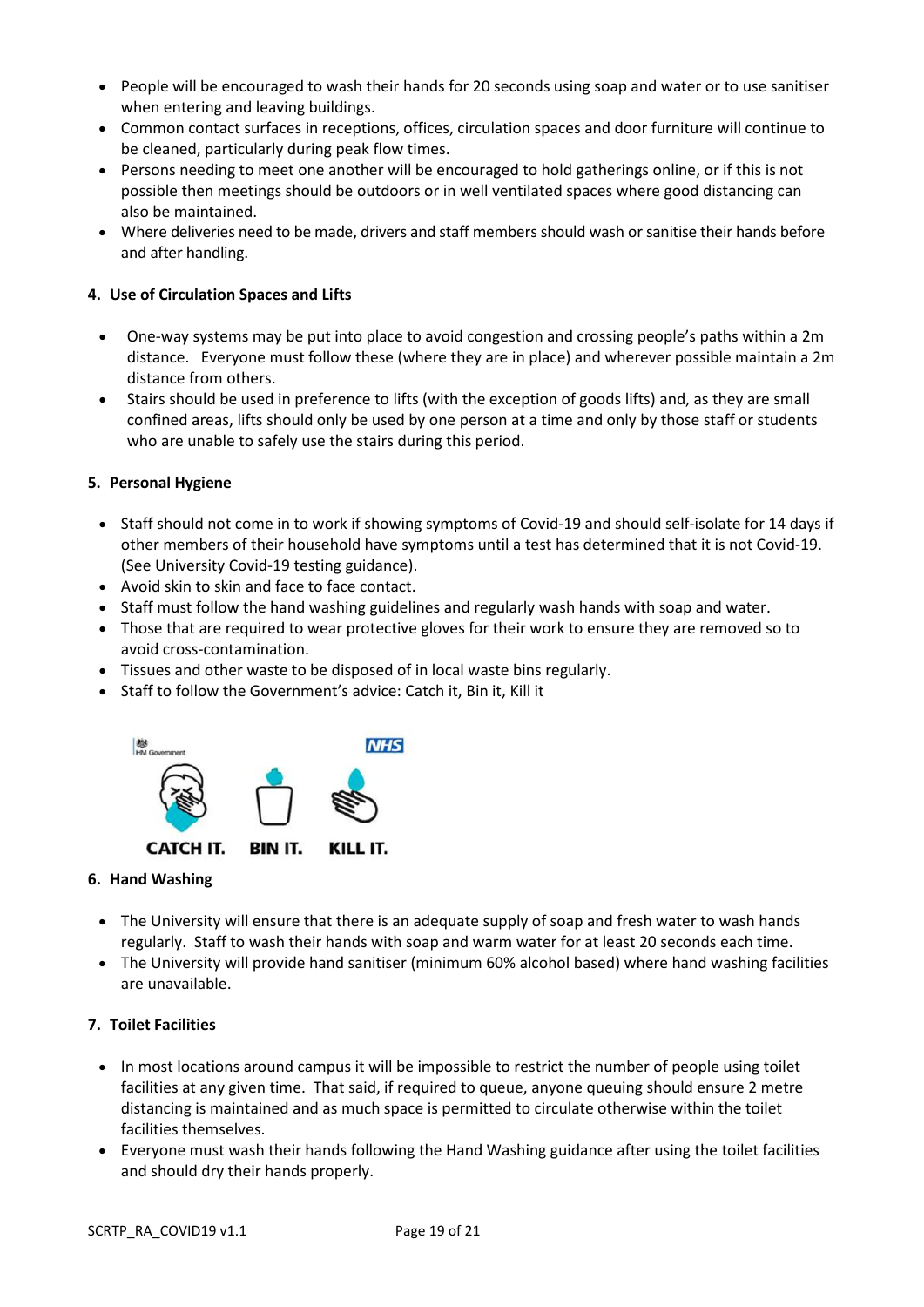- People will be encouraged to wash their hands for 20 seconds using soap and water or to use sanitiser when entering and leaving buildings.
- Common contact surfaces in receptions, offices, circulation spaces and door furniture will continue to be cleaned, particularly during peak flow times.
- Persons needing to meet one another will be encouraged to hold gatherings online, or if this is not possible then meetings should be outdoors or in well ventilated spaces where good distancing can also be maintained.
- Where deliveries need to be made, drivers and staff members should wash or sanitise their hands before and after handling.

# **4. Use of Circulation Spaces and Lifts**

- One-way systems may be put into place to avoid congestion and crossing people's paths within a 2m distance. Everyone must follow these (where they are in place) and wherever possible maintain a 2m distance from others.
- Stairs should be used in preference to lifts (with the exception of goods lifts) and, as they are small confined areas, lifts should only be used by one person at a time and only by those staff or students who are unable to safely use the stairs during this period.

# **5. Personal Hygiene**

- Staff should not come in to work if showing symptoms of Covid-19 and should self-isolate for 14 days if other members of their household have symptoms until a test has determined that it is not Covid-19. (See University Covid-19 testing guidance).
- Avoid skin to skin and face to face contact.
- Staff must follow the hand washing guidelines and regularly wash hands with soap and water.
- Those that are required to wear protective gloves for their work to ensure they are removed so to avoid cross-contamination.
- Tissues and other waste to be disposed of in local waste bins regularly.
- Staff to follow the Government's advice: Catch it, Bin it, Kill it



# **6. Hand Washing**

- The University will ensure that there is an adequate supply of soap and fresh water to wash hands regularly. Staff to wash their hands with soap and warm water for at least 20 seconds each time.
- The University will provide hand sanitiser (minimum 60% alcohol based) where hand washing facilities are unavailable.

# **7. Toilet Facilities**

- In most locations around campus it will be impossible to restrict the number of people using toilet facilities at any given time. That said, if required to queue, anyone queuing should ensure 2 metre distancing is maintained and as much space is permitted to circulate otherwise within the toilet facilities themselves.
- Everyone must wash their hands following the Hand Washing guidance after using the toilet facilities and should dry their hands properly.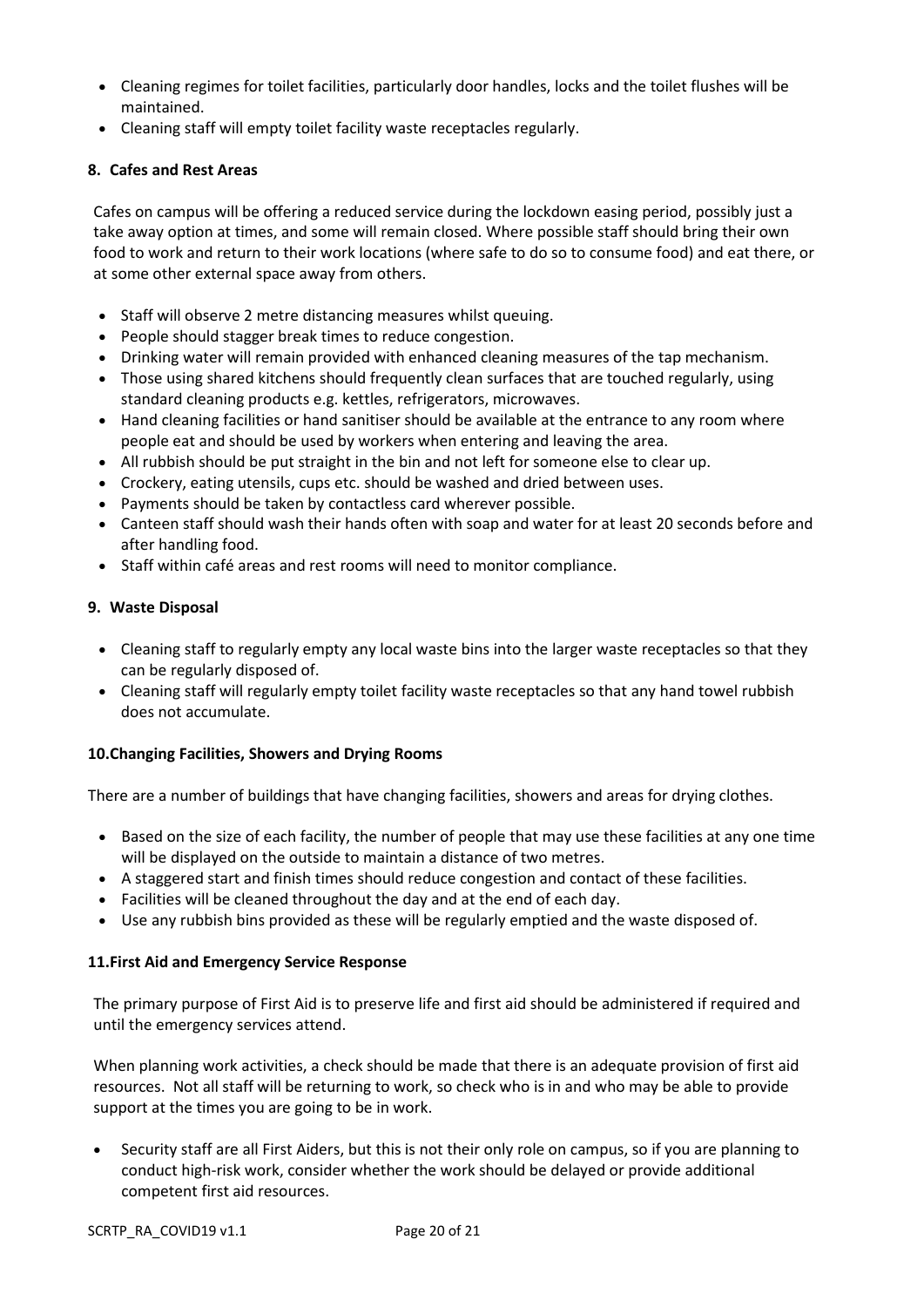- Cleaning regimes for toilet facilities, particularly door handles, locks and the toilet flushes will be maintained.
- Cleaning staff will empty toilet facility waste receptacles regularly.

# **8. Cafes and Rest Areas**

Cafes on campus will be offering a reduced service during the lockdown easing period, possibly just a take away option at times, and some will remain closed. Where possible staff should bring their own food to work and return to their work locations (where safe to do so to consume food) and eat there, or at some other external space away from others.

- Staff will observe 2 metre distancing measures whilst queuing.
- People should stagger break times to reduce congestion.
- Drinking water will remain provided with enhanced cleaning measures of the tap mechanism.
- Those using shared kitchens should frequently clean surfaces that are touched regularly, using standard cleaning products e.g. kettles, refrigerators, microwaves.
- Hand cleaning facilities or hand sanitiser should be available at the entrance to any room where people eat and should be used by workers when entering and leaving the area.
- All rubbish should be put straight in the bin and not left for someone else to clear up.
- Crockery, eating utensils, cups etc. should be washed and dried between uses.
- Payments should be taken by contactless card wherever possible.
- Canteen staff should wash their hands often with soap and water for at least 20 seconds before and after handling food.
- Staff within café areas and rest rooms will need to monitor compliance.

## **9. Waste Disposal**

- Cleaning staff to regularly empty any local waste bins into the larger waste receptacles so that they can be regularly disposed of.
- Cleaning staff will regularly empty toilet facility waste receptacles so that any hand towel rubbish does not accumulate.

# **10.Changing Facilities, Showers and Drying Rooms**

There are a number of buildings that have changing facilities, showers and areas for drying clothes.

- Based on the size of each facility, the number of people that may use these facilities at any one time will be displayed on the outside to maintain a distance of two metres.
- A staggered start and finish times should reduce congestion and contact of these facilities.
- Facilities will be cleaned throughout the day and at the end of each day.
- Use any rubbish bins provided as these will be regularly emptied and the waste disposed of.

## **11.First Aid and Emergency Service Response**

The primary purpose of First Aid is to preserve life and first aid should be administered if required and until the emergency services attend.

When planning work activities, a check should be made that there is an adequate provision of first aid resources. Not all staff will be returning to work, so check who is in and who may be able to provide support at the times you are going to be in work.

 Security staff are all First Aiders, but this is not their only role on campus, so if you are planning to conduct high-risk work, consider whether the work should be delayed or provide additional competent first aid resources.